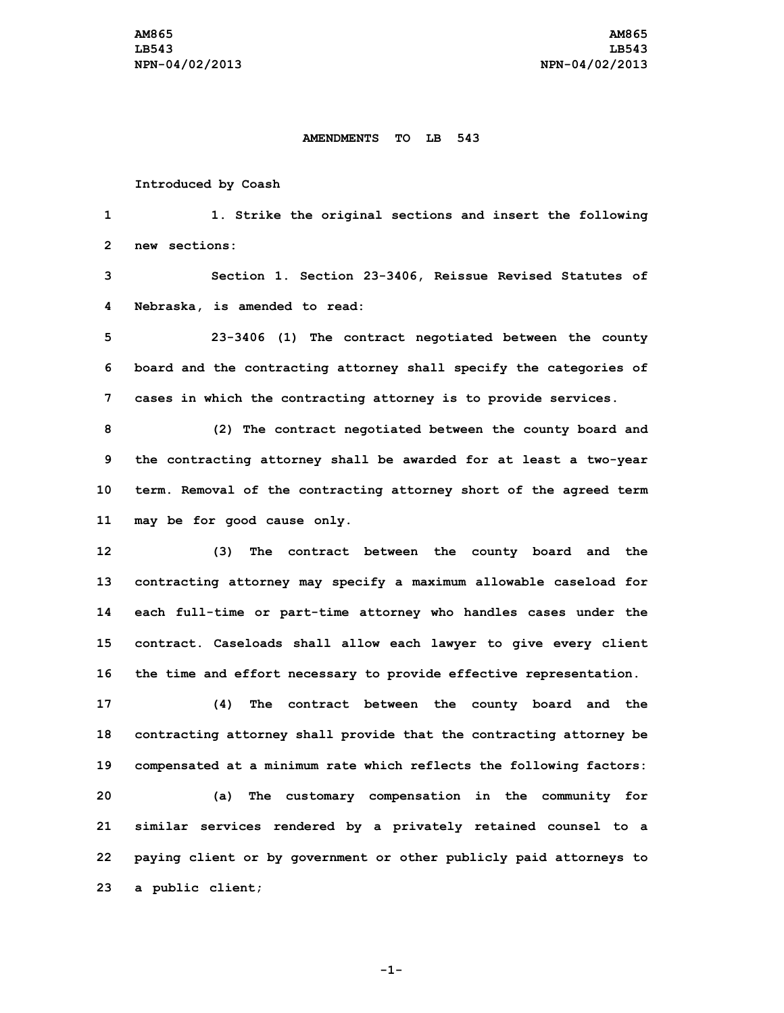## **AMENDMENTS TO LB 543**

## **Introduced by Coash**

**1 1. Strike the original sections and insert the following 2 new sections:**

**3 Section 1. Section 23-3406, Reissue Revised Statutes of 4 Nebraska, is amended to read:**

**5 23-3406 (1) The contract negotiated between the county 6 board and the contracting attorney shall specify the categories of 7 cases in which the contracting attorney is to provide services.**

 **(2) The contract negotiated between the county board and the contracting attorney shall be awarded for at least <sup>a</sup> two-year term. Removal of the contracting attorney short of the agreed term may be for good cause only.**

 **(3) The contract between the county board and the contracting attorney may specify <sup>a</sup> maximum allowable caseload for each full-time or part-time attorney who handles cases under the contract. Caseloads shall allow each lawyer to give every client the time and effort necessary to provide effective representation.**

 **(4) The contract between the county board and the contracting attorney shall provide that the contracting attorney be compensated at <sup>a</sup> minimum rate which reflects the following factors: (a) The customary compensation in the community for similar services rendered by <sup>a</sup> privately retained counsel to <sup>a</sup> paying client or by government or other publicly paid attorneys to <sup>a</sup> public client;**

**-1-**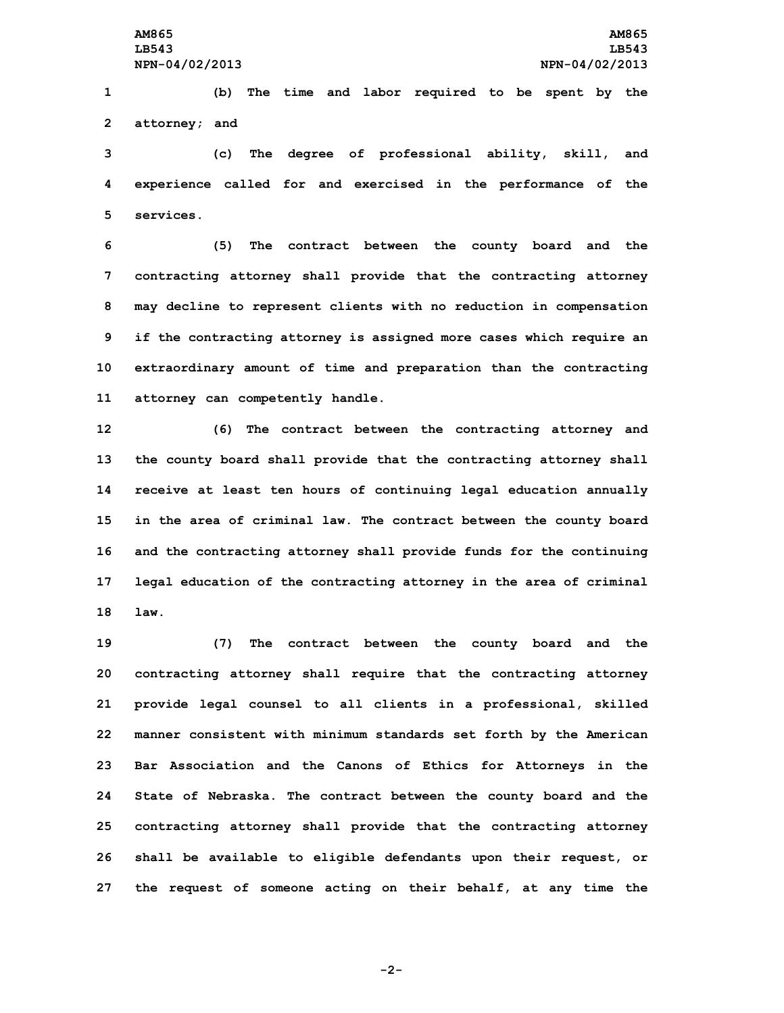**1 (b) The time and labor required to be spent by the 2 attorney; and**

**3 (c) The degree of professional ability, skill, and 4 experience called for and exercised in the performance of the 5 services.**

 **(5) The contract between the county board and the contracting attorney shall provide that the contracting attorney may decline to represent clients with no reduction in compensation if the contracting attorney is assigned more cases which require an extraordinary amount of time and preparation than the contracting attorney can competently handle.**

 **(6) The contract between the contracting attorney and the county board shall provide that the contracting attorney shall receive at least ten hours of continuing legal education annually in the area of criminal law. The contract between the county board and the contracting attorney shall provide funds for the continuing legal education of the contracting attorney in the area of criminal 18 law.**

 **(7) The contract between the county board and the contracting attorney shall require that the contracting attorney provide legal counsel to all clients in <sup>a</sup> professional, skilled manner consistent with minimum standards set forth by the American Bar Association and the Canons of Ethics for Attorneys in the State of Nebraska. The contract between the county board and the contracting attorney shall provide that the contracting attorney shall be available to eligible defendants upon their request, or the request of someone acting on their behalf, at any time the**

**-2-**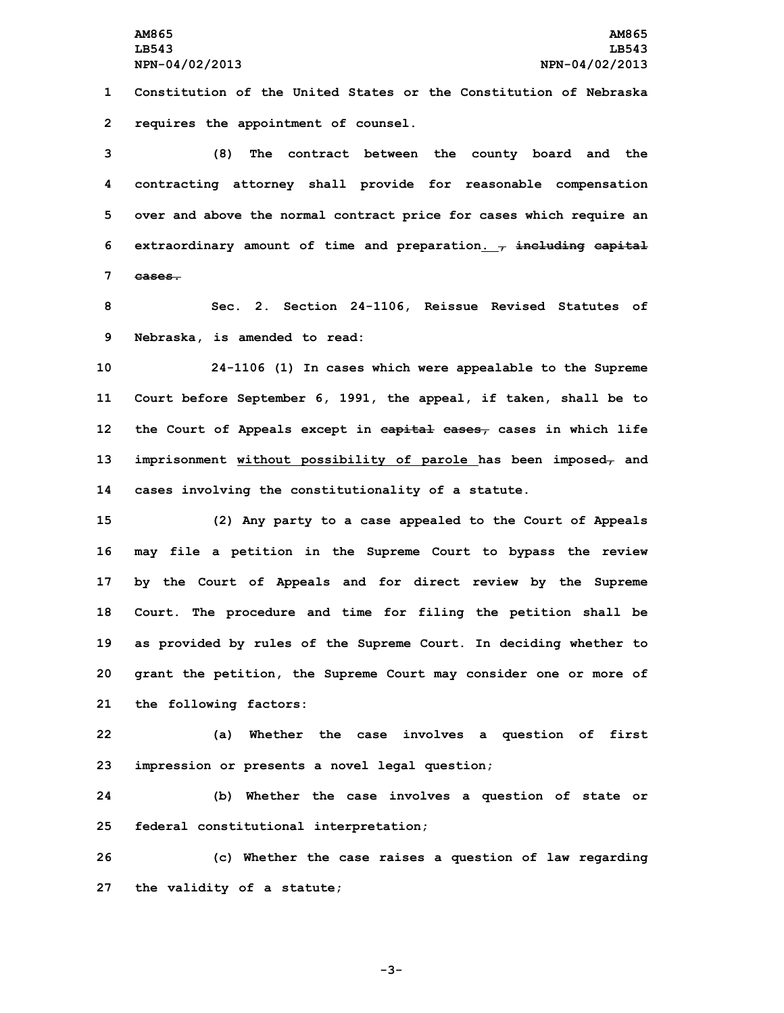**1 Constitution of the United States or the Constitution of Nebraska 2 requires the appointment of counsel.**

 **(8) The contract between the county board and the contracting attorney shall provide for reasonable compensation over and above the normal contract price for cases which require an extraordinary amount of time and preparation. , including capital 7 cases.**

**8 Sec. 2. Section 24-1106, Reissue Revised Statutes of 9 Nebraska, is amended to read:**

 **24-1106 (1) In cases which were appealable to the Supreme Court before September 6, 1991, the appeal, if taken, shall be to the Court of Appeals except in capital cases, cases in which life imprisonment without possibility of parole has been imposed, and cases involving the constitutionality of <sup>a</sup> statute.**

 **(2) Any party to <sup>a</sup> case appealed to the Court of Appeals may file <sup>a</sup> petition in the Supreme Court to bypass the review by the Court of Appeals and for direct review by the Supreme Court. The procedure and time for filing the petition shall be as provided by rules of the Supreme Court. In deciding whether to grant the petition, the Supreme Court may consider one or more of the following factors:**

**22 (a) Whether the case involves <sup>a</sup> question of first 23 impression or presents <sup>a</sup> novel legal question;**

**24 (b) Whether the case involves <sup>a</sup> question of state or 25 federal constitutional interpretation;**

**26 (c) Whether the case raises <sup>a</sup> question of law regarding 27 the validity of <sup>a</sup> statute;**

**-3-**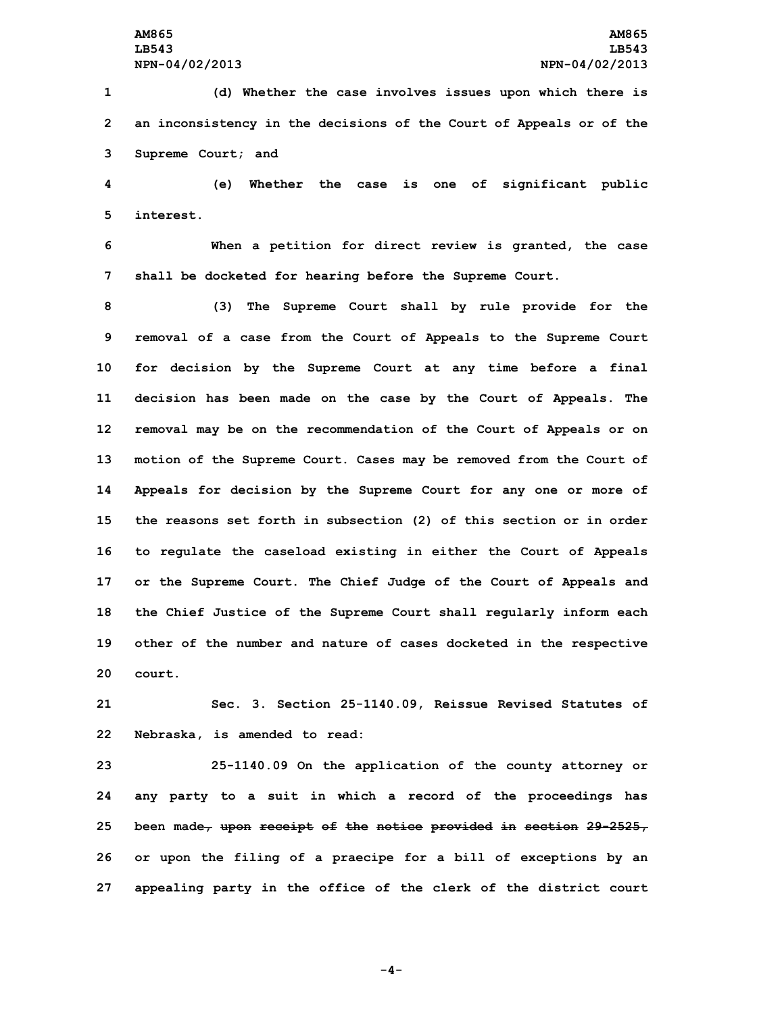**1 (d) Whether the case involves issues upon which there is 2 an inconsistency in the decisions of the Court of Appeals or of the 3 Supreme Court; and**

**4 (e) Whether the case is one of significant public 5 interest.**

**6 When <sup>a</sup> petition for direct review is granted, the case 7 shall be docketed for hearing before the Supreme Court.**

 **(3) The Supreme Court shall by rule provide for the removal of <sup>a</sup> case from the Court of Appeals to the Supreme Court for decision by the Supreme Court at any time before <sup>a</sup> final decision has been made on the case by the Court of Appeals. The removal may be on the recommendation of the Court of Appeals or on motion of the Supreme Court. Cases may be removed from the Court of Appeals for decision by the Supreme Court for any one or more of the reasons set forth in subsection (2) of this section or in order to regulate the caseload existing in either the Court of Appeals or the Supreme Court. The Chief Judge of the Court of Appeals and the Chief Justice of the Supreme Court shall regularly inform each other of the number and nature of cases docketed in the respective 20 court.**

**21 Sec. 3. Section 25-1140.09, Reissue Revised Statutes of 22 Nebraska, is amended to read:**

 **25-1140.09 On the application of the county attorney or any party to <sup>a</sup> suit in which <sup>a</sup> record of the proceedings has been made, upon receipt of the notice provided in section 29-2525, or upon the filing of <sup>a</sup> praecipe for <sup>a</sup> bill of exceptions by an appealing party in the office of the clerk of the district court**

**-4-**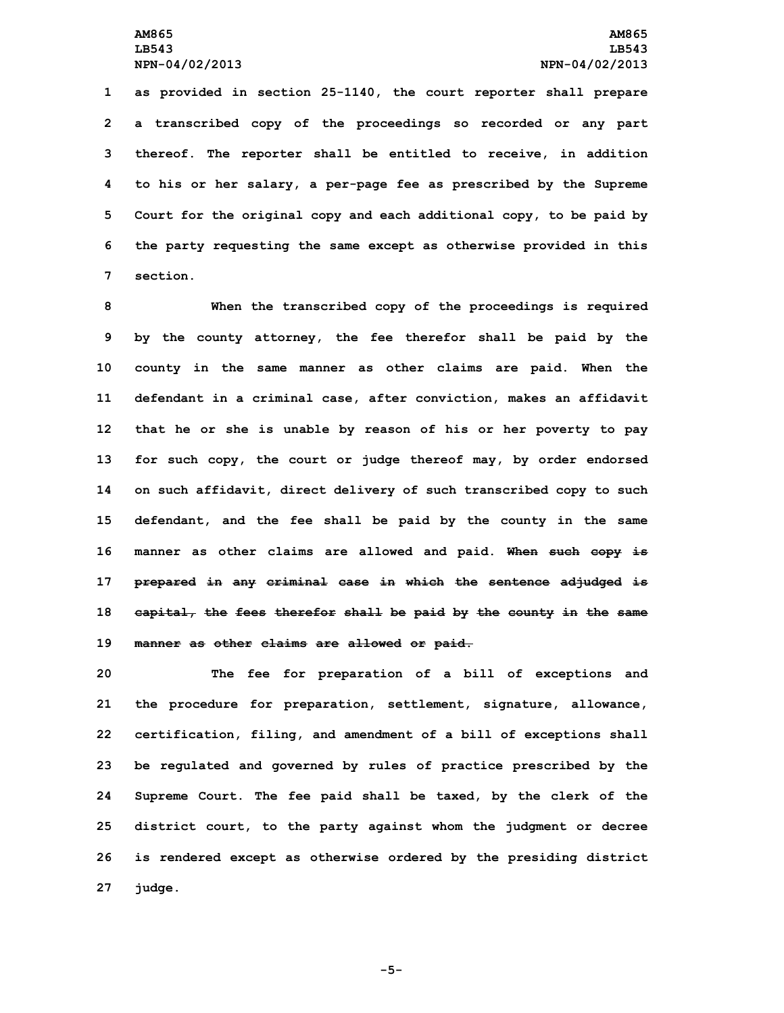**as provided in section 25-1140, the court reporter shall prepare <sup>a</sup> transcribed copy of the proceedings so recorded or any part thereof. The reporter shall be entitled to receive, in addition to his or her salary, <sup>a</sup> per-page fee as prescribed by the Supreme Court for the original copy and each additional copy, to be paid by the party requesting the same except as otherwise provided in this 7 section.**

 **When the transcribed copy of the proceedings is required by the county attorney, the fee therefor shall be paid by the county in the same manner as other claims are paid. When the defendant in <sup>a</sup> criminal case, after conviction, makes an affidavit that he or she is unable by reason of his or her poverty to pay for such copy, the court or judge thereof may, by order endorsed on such affidavit, direct delivery of such transcribed copy to such defendant, and the fee shall be paid by the county in the same manner as other claims are allowed and paid. When such copy is prepared in any criminal case in which the sentence adjudged is capital, the fees therefor shall be paid by the county in the same manner as other claims are allowed or paid.**

 **The fee for preparation of <sup>a</sup> bill of exceptions and the procedure for preparation, settlement, signature, allowance, certification, filing, and amendment of <sup>a</sup> bill of exceptions shall be regulated and governed by rules of practice prescribed by the Supreme Court. The fee paid shall be taxed, by the clerk of the district court, to the party against whom the judgment or decree is rendered except as otherwise ordered by the presiding district 27 judge.**

**-5-**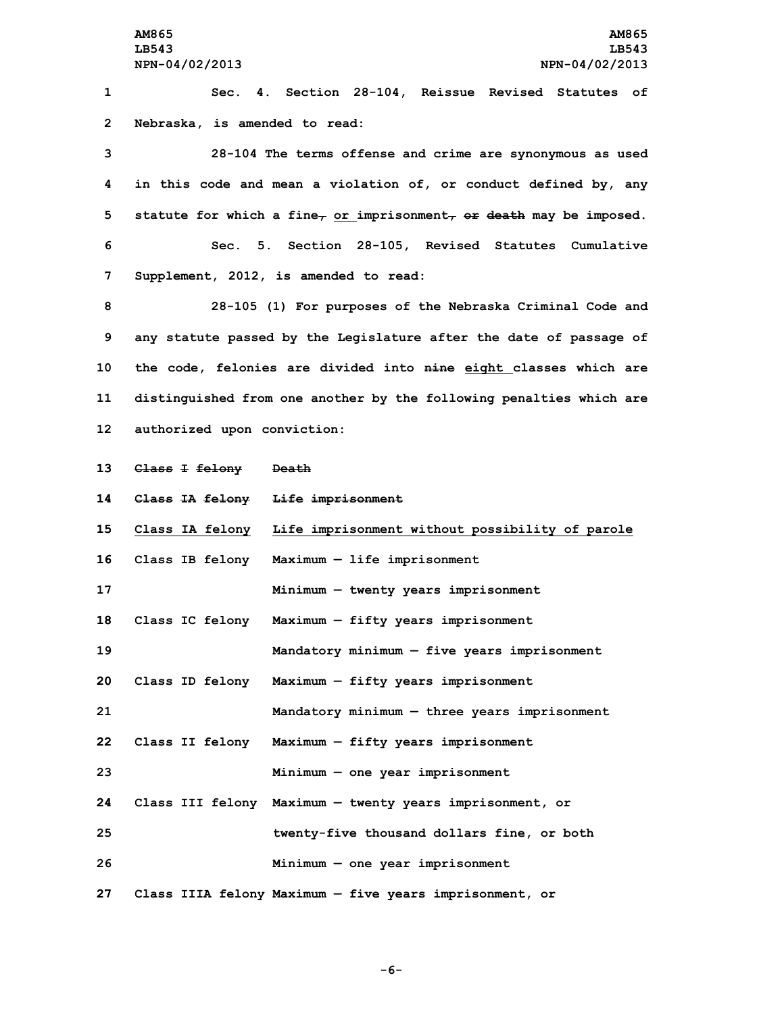**AM865 AM865 LB543 LB543 NPN-04/02/2013 NPN-04/02/2013 Sec. 4. Section 28-104, Reissue Revised Statutes of Nebraska, is amended to read: 28-104 The terms offense and crime are synonymous as used in this code and mean <sup>a</sup> violation of, or conduct defined by, any statute for which <sup>a</sup> fine, or imprisonment, or death may be imposed. Sec. 5. Section 28-105, Revised Statutes Cumulative Supplement, 2012, is amended to read: 28-105 (1) For purposes of the Nebraska Criminal Code and any statute passed by the Legislature after the date of passage of the code, felonies are divided into nine eight classes which are distinguished from one another by the following penalties which are authorized upon conviction: Class <sup>I</sup> felony Death Class IA felony Life imprisonment Class IA felony Life imprisonment without possibility of parole Class IB felony Maximum — life imprisonment Minimum — twenty years imprisonment Class IC felony Maximum — fifty years imprisonment Mandatory minimum — five years imprisonment Class ID felony Maximum — fifty years imprisonment Mandatory minimum — three years imprisonment Class II felony Maximum — fifty years imprisonment Minimum — one year imprisonment Class III felony Maximum — twenty years imprisonment, or twenty-five thousand dollars fine, or both Minimum — one year imprisonment**

**27 Class IIIA felony Maximum — five years imprisonment, or**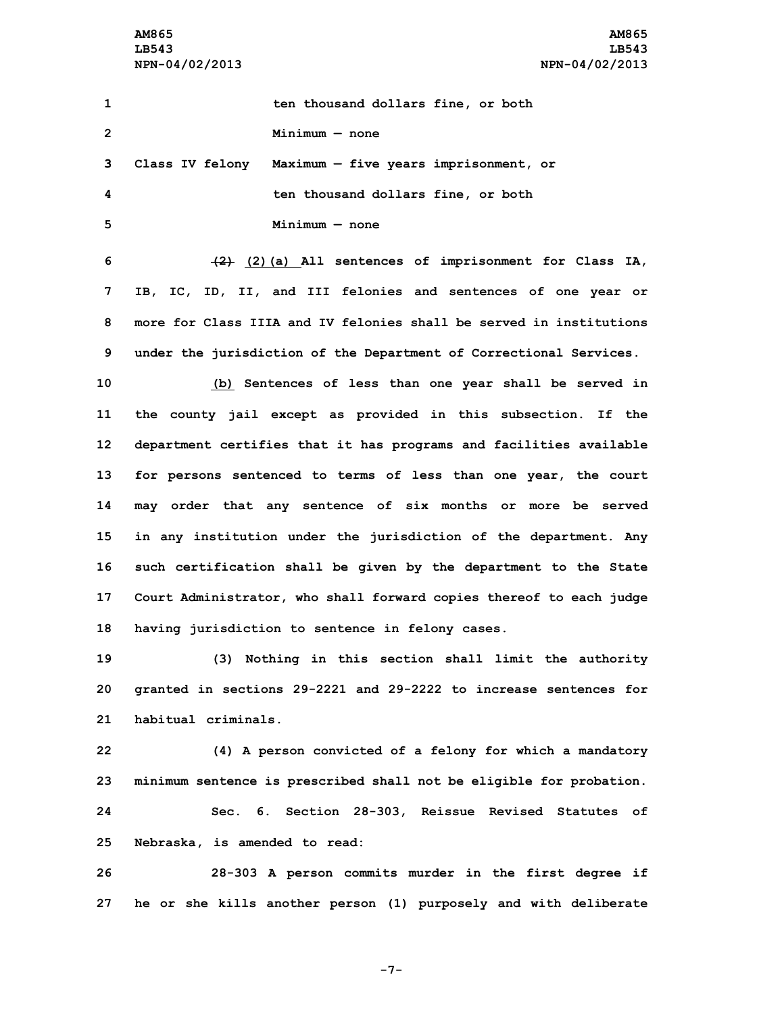**AM865 AM865 LB543 LB543 NPN-04/02/2013 NPN-04/02/2013**

 **ten thousand dollars fine, or both Minimum — none Class IV felony Maximum — five years imprisonment, or ten thousand dollars fine, or both Minimum — none (2) (2)(a) All sentences of imprisonment for Class IA, IB, IC, ID, II, and III felonies and sentences of one year or more for Class IIIA and IV felonies shall be served in institutions under the jurisdiction of the Department of Correctional Services. (b) Sentences of less than one year shall be served in the county jail except as provided in this subsection. If the department certifies that it has programs and facilities available for persons sentenced to terms of less than one year, the court may order that any sentence of six months or more be served in any institution under the jurisdiction of the department. Any such certification shall be given by the department to the State Court Administrator, who shall forward copies thereof to each judge having jurisdiction to sentence in felony cases. (3) Nothing in this section shall limit the authority granted in sections 29-2221 and 29-2222 to increase sentences for habitual criminals. (4) <sup>A</sup> person convicted of <sup>a</sup> felony for which <sup>a</sup> mandatory**

**24 Sec. 6. Section 28-303, Reissue Revised Statutes of 25 Nebraska, is amended to read:**

**23 minimum sentence is prescribed shall not be eligible for probation.**

**26 28-303 <sup>A</sup> person commits murder in the first degree if 27 he or she kills another person (1) purposely and with deliberate**

**-7-**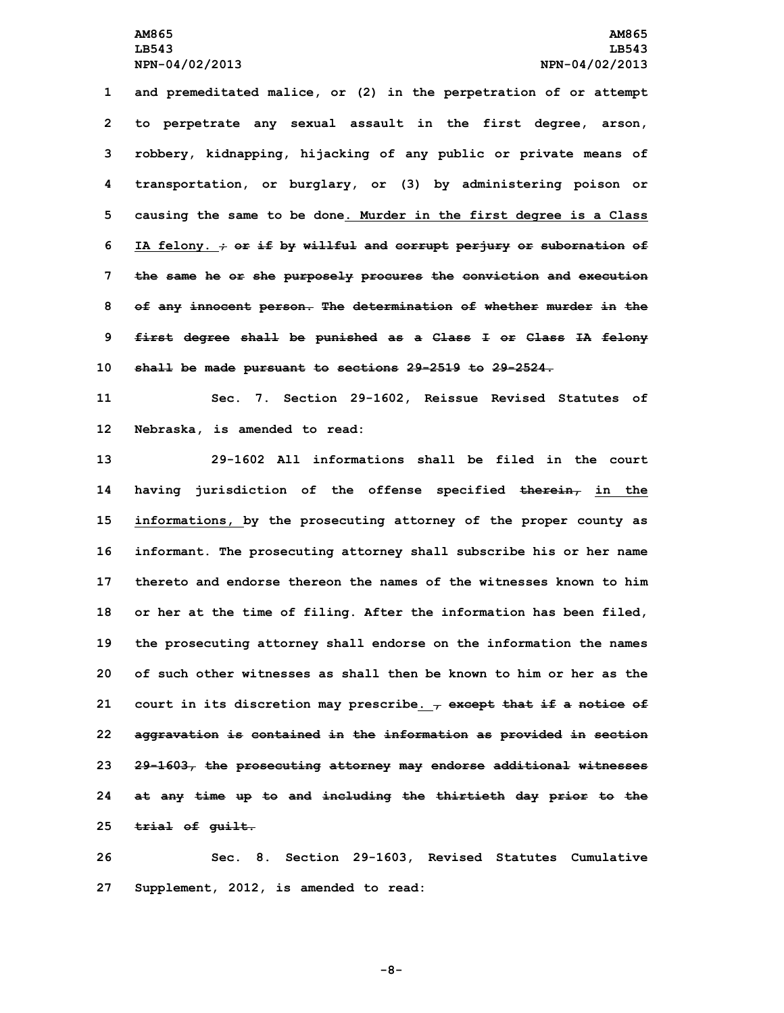**and premeditated malice, or (2) in the perpetration of or attempt to perpetrate any sexual assault in the first degree, arson, robbery, kidnapping, hijacking of any public or private means of transportation, or burglary, or (3) by administering poison or causing the same to be done. Murder in the first degree is <sup>a</sup> Class IA felony. ; or if by willful and corrupt perjury or subornation of the same he or she purposely procures the conviction and execution of any innocent person. The determination of whether murder in the first degree shall be punished as <sup>a</sup> Class <sup>I</sup> or Class IA felony shall be made pursuant to sections 29-2519 to 29-2524.**

**11 Sec. 7. Section 29-1602, Reissue Revised Statutes of 12 Nebraska, is amended to read:**

 **29-1602 All informations shall be filed in the court having jurisdiction of the offense specified therein, in the informations, by the prosecuting attorney of the proper county as informant. The prosecuting attorney shall subscribe his or her name thereto and endorse thereon the names of the witnesses known to him or her at the time of filing. After the information has been filed, the prosecuting attorney shall endorse on the information the names of such other witnesses as shall then be known to him or her as the court in its discretion may prescribe. , except that if <sup>a</sup> notice of aggravation is contained in the information as provided in section 29-1603, the prosecuting attorney may endorse additional witnesses at any time up to and including the thirtieth day prior to the trial of guilt.**

**26 Sec. 8. Section 29-1603, Revised Statutes Cumulative 27 Supplement, 2012, is amended to read:**

**-8-**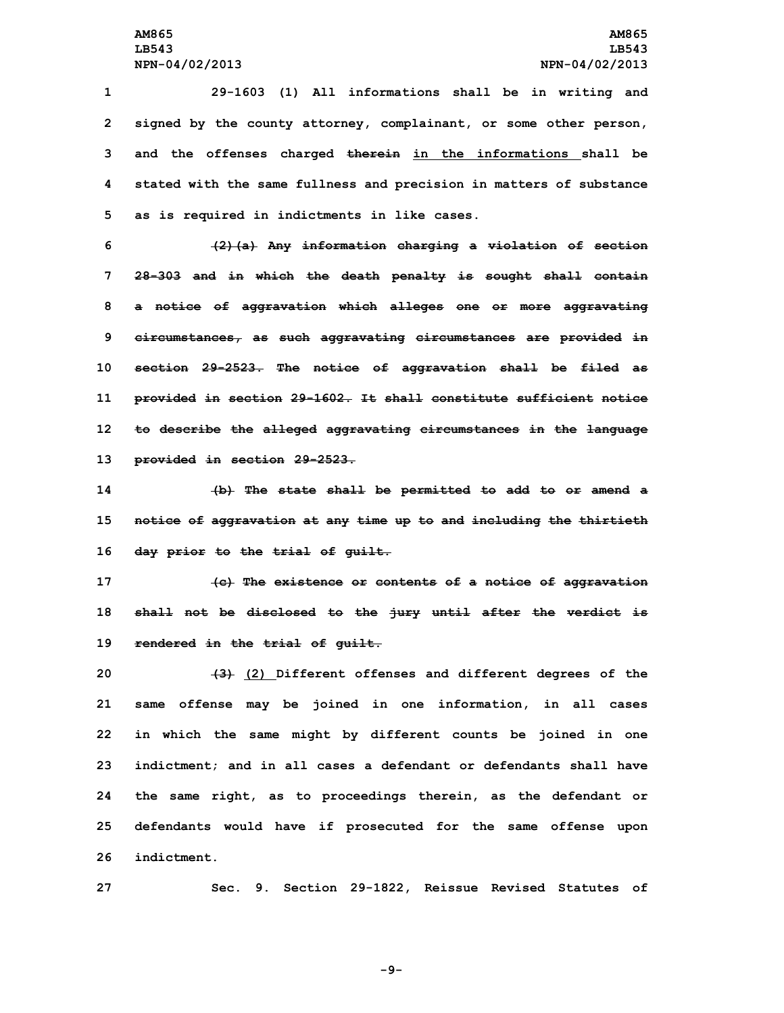**29-1603 (1) All informations shall be in writing and signed by the county attorney, complainant, or some other person, and the offenses charged therein in the informations shall be stated with the same fullness and precision in matters of substance as is required in indictments in like cases.**

 **(2)(a) Any information charging <sup>a</sup> violation of section 28-303 and in which the death penalty is sought shall contain <sup>a</sup> notice of aggravation which alleges one or more aggravating circumstances, as such aggravating circumstances are provided in section 29-2523. The notice of aggravation shall be filed as provided in section 29-1602. It shall constitute sufficient notice to describe the alleged aggravating circumstances in the language provided in section 29-2523.**

**14 (b) The state shall be permitted to add to or amend <sup>a</sup> 15 notice of aggravation at any time up to and including the thirtieth 16 day prior to the trial of guilt.**

**17 (c) The existence or contents of <sup>a</sup> notice of aggravation 18 shall not be disclosed to the jury until after the verdict is 19 rendered in the trial of guilt.**

 **(3) (2) Different offenses and different degrees of the same offense may be joined in one information, in all cases in which the same might by different counts be joined in one indictment; and in all cases <sup>a</sup> defendant or defendants shall have the same right, as to proceedings therein, as the defendant or defendants would have if prosecuted for the same offense upon indictment.**

**27 Sec. 9. Section 29-1822, Reissue Revised Statutes of**

**-9-**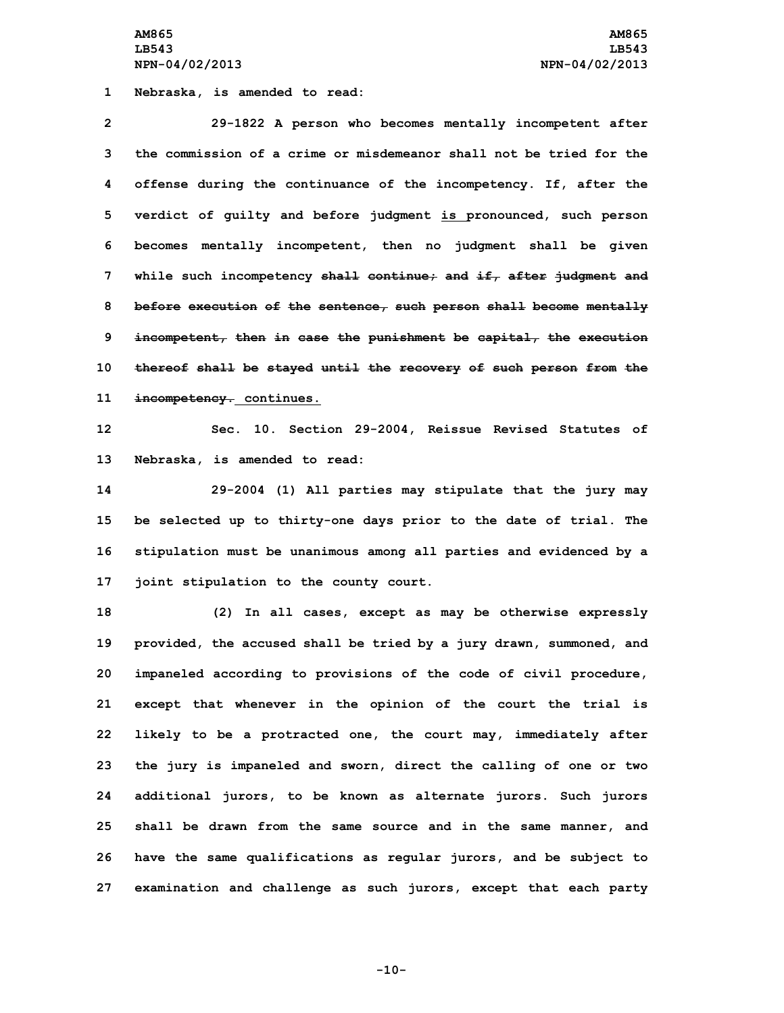**AM865 AM865 LB543 LB543 NPN-04/02/2013 NPN-04/02/2013**

**1 Nebraska, is amended to read:**

 **29-1822 <sup>A</sup> person who becomes mentally incompetent after the commission of a crime or misdemeanor shall not be tried for the offense during the continuance of the incompetency. If, after the verdict of guilty and before judgment is pronounced, such person becomes mentally incompetent, then no judgment shall be given while such incompetency shall continue; and if, after judgment and before execution of the sentence, such person shall become mentally incompetent, then in case the punishment be capital, the execution thereof shall be stayed until the recovery of such person from the incompetency. continues.**

**12 Sec. 10. Section 29-2004, Reissue Revised Statutes of 13 Nebraska, is amended to read:**

 **29-2004 (1) All parties may stipulate that the jury may be selected up to thirty-one days prior to the date of trial. The stipulation must be unanimous among all parties and evidenced by <sup>a</sup> joint stipulation to the county court.**

 **(2) In all cases, except as may be otherwise expressly provided, the accused shall be tried by <sup>a</sup> jury drawn, summoned, and impaneled according to provisions of the code of civil procedure, except that whenever in the opinion of the court the trial is likely to be <sup>a</sup> protracted one, the court may, immediately after the jury is impaneled and sworn, direct the calling of one or two additional jurors, to be known as alternate jurors. Such jurors shall be drawn from the same source and in the same manner, and have the same qualifications as regular jurors, and be subject to examination and challenge as such jurors, except that each party**

**-10-**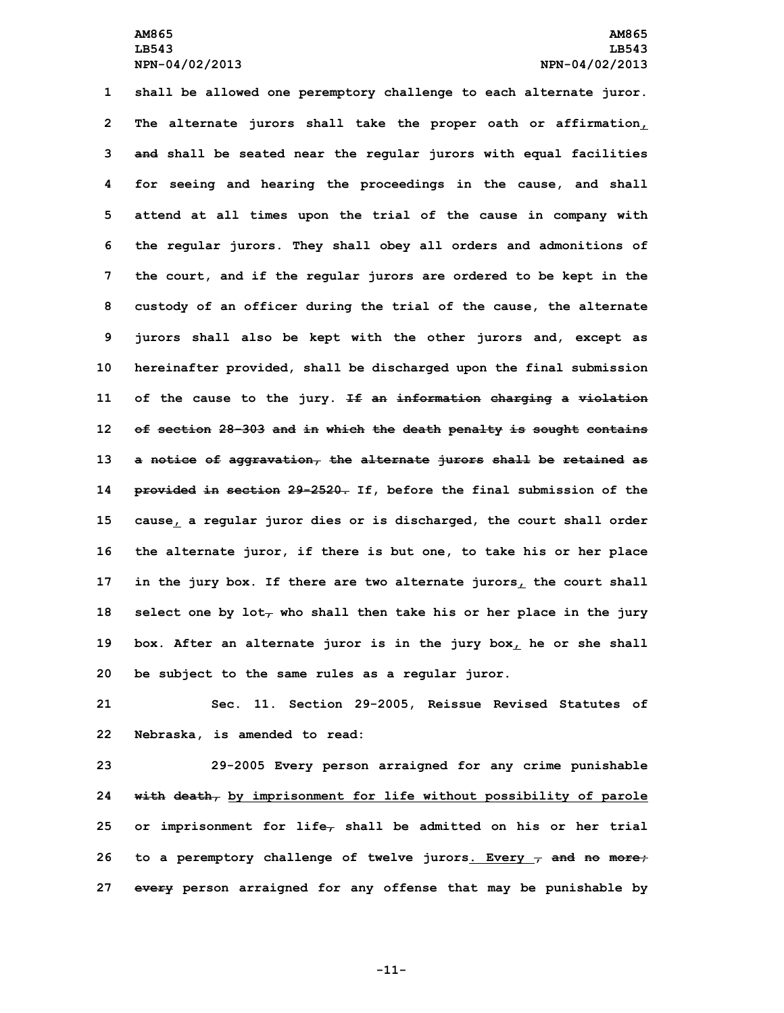**shall be allowed one peremptory challenge to each alternate juror. The alternate jurors shall take the proper oath or affirmation, and shall be seated near the regular jurors with equal facilities for seeing and hearing the proceedings in the cause, and shall attend at all times upon the trial of the cause in company with the regular jurors. They shall obey all orders and admonitions of the court, and if the regular jurors are ordered to be kept in the custody of an officer during the trial of the cause, the alternate jurors shall also be kept with the other jurors and, except as hereinafter provided, shall be discharged upon the final submission of the cause to the jury. If an information charging <sup>a</sup> violation of section 28-303 and in which the death penalty is sought contains <sup>a</sup> notice of aggravation, the alternate jurors shall be retained as provided in section 29-2520. If, before the final submission of the cause, <sup>a</sup> regular juror dies or is discharged, the court shall order the alternate juror, if there is but one, to take his or her place in the jury box. If there are two alternate jurors, the court shall select one by lot, who shall then take his or her place in the jury box. After an alternate juror is in the jury box, he or she shall be subject to the same rules as <sup>a</sup> regular juror.**

**21 Sec. 11. Section 29-2005, Reissue Revised Statutes of 22 Nebraska, is amended to read:**

 **29-2005 Every person arraigned for any crime punishable with death, by imprisonment for life without possibility of parole or imprisonment for life, shall be admitted on his or her trial to <sup>a</sup> peremptory challenge of twelve jurors. Every , and no more; every person arraigned for any offense that may be punishable by**

**-11-**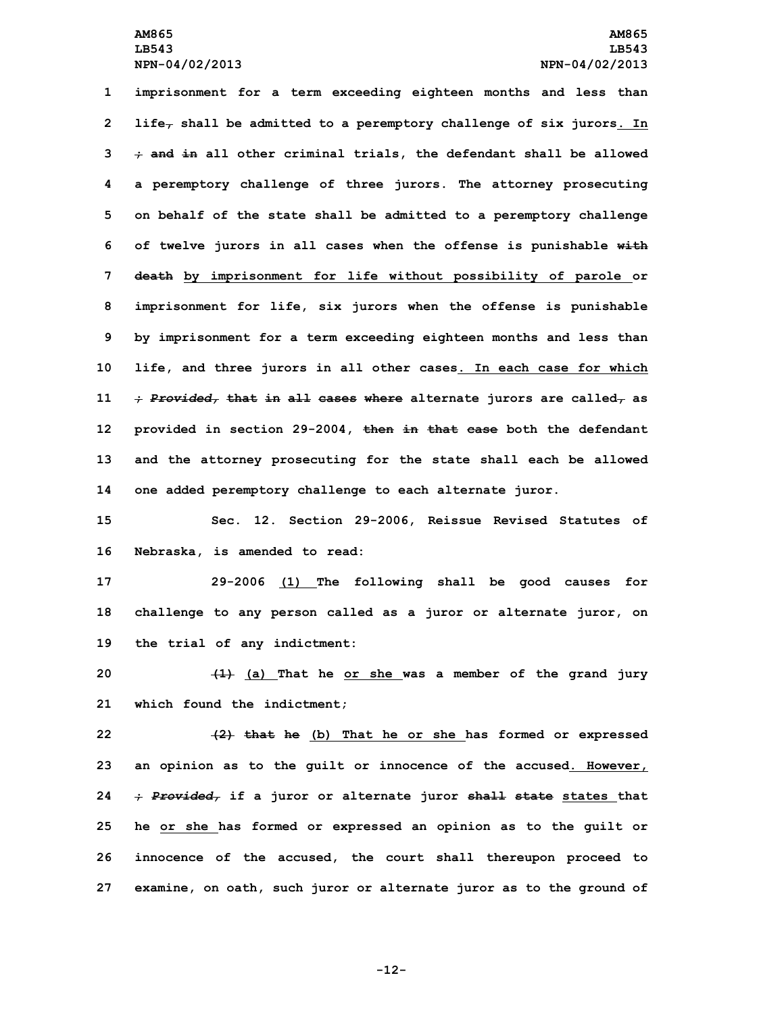**imprisonment for <sup>a</sup> term exceeding eighteen months and less than life, shall be admitted to <sup>a</sup> peremptory challenge of six jurors. In ; and in all other criminal trials, the defendant shall be allowed <sup>a</sup> peremptory challenge of three jurors. The attorney prosecuting on behalf of the state shall be admitted to <sup>a</sup> peremptory challenge of twelve jurors in all cases when the offense is punishable with death by imprisonment for life without possibility of parole or imprisonment for life, six jurors when the offense is punishable by imprisonment for <sup>a</sup> term exceeding eighteen months and less than life, and three jurors in all other cases. In each case for which ;** *Provided,* **that in all cases where alternate jurors are called, as provided in section 29-2004, then in that case both the defendant and the attorney prosecuting for the state shall each be allowed one added peremptory challenge to each alternate juror.**

**15 Sec. 12. Section 29-2006, Reissue Revised Statutes of 16 Nebraska, is amended to read:**

**17 29-2006 (1) The following shall be good causes for 18 challenge to any person called as <sup>a</sup> juror or alternate juror, on 19 the trial of any indictment:**

**20 (1) (a) That he or she was <sup>a</sup> member of the grand jury 21 which found the indictment;**

 **(2) that he (b) That he or she has formed or expressed an opinion as to the guilt or innocence of the accused. However, ;** *Provided,* **if <sup>a</sup> juror or alternate juror shall state states that he or she has formed or expressed an opinion as to the guilt or innocence of the accused, the court shall thereupon proceed to examine, on oath, such juror or alternate juror as to the ground of**

**-12-**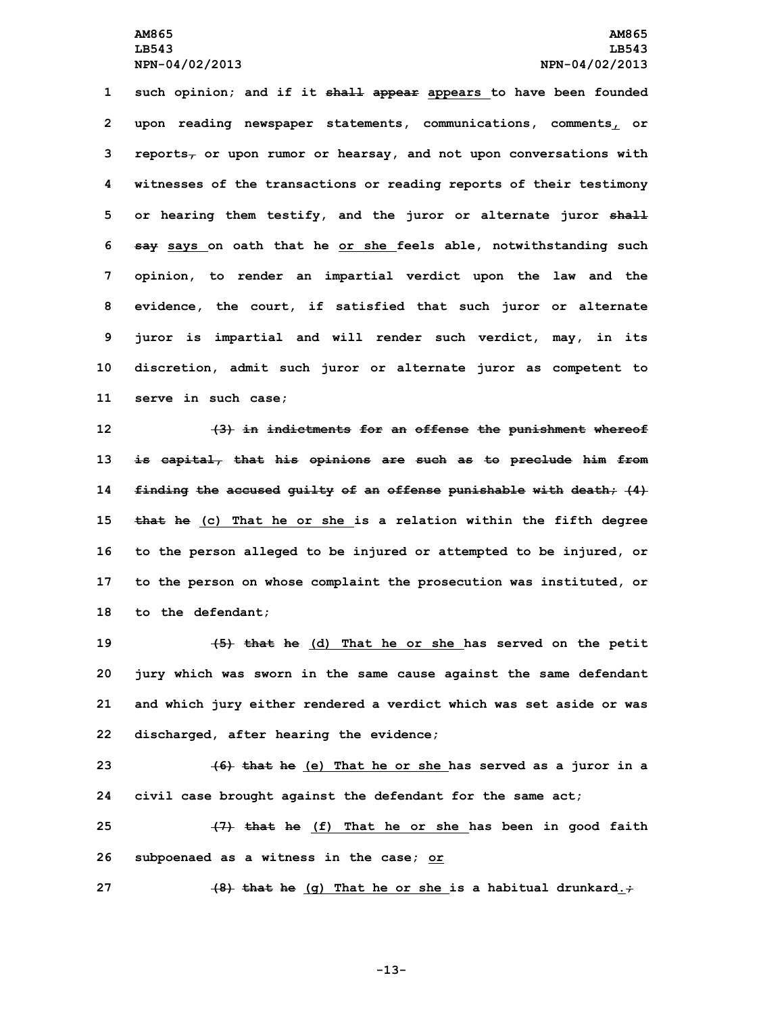**such opinion; and if it shall appear appears to have been founded upon reading newspaper statements, communications, comments, or reports, or upon rumor or hearsay, and not upon conversations with witnesses of the transactions or reading reports of their testimony or hearing them testify, and the juror or alternate juror shall say says on oath that he or she feels able, notwithstanding such opinion, to render an impartial verdict upon the law and the evidence, the court, if satisfied that such juror or alternate juror is impartial and will render such verdict, may, in its discretion, admit such juror or alternate juror as competent to serve in such case;**

 **(3) in indictments for an offense the punishment whereof is capital, that his opinions are such as to preclude him from finding the accused guilty of an offense punishable with death; (4) that he (c) That he or she is <sup>a</sup> relation within the fifth degree to the person alleged to be injured or attempted to be injured, or to the person on whose complaint the prosecution was instituted, or to the defendant;**

 **(5) that he (d) That he or she has served on the petit jury which was sworn in the same cause against the same defendant and which jury either rendered <sup>a</sup> verdict which was set aside or was discharged, after hearing the evidence;**

**23 (6) that he (e) That he or she has served as <sup>a</sup> juror in <sup>a</sup> 24 civil case brought against the defendant for the same act;**

**25 (7) that he (f) That he or she has been in good faith 26 subpoenaed as <sup>a</sup> witness in the case; or**

**27 (8) that he (g) That he or she is <sup>a</sup> habitual drunkard.;**

**-13-**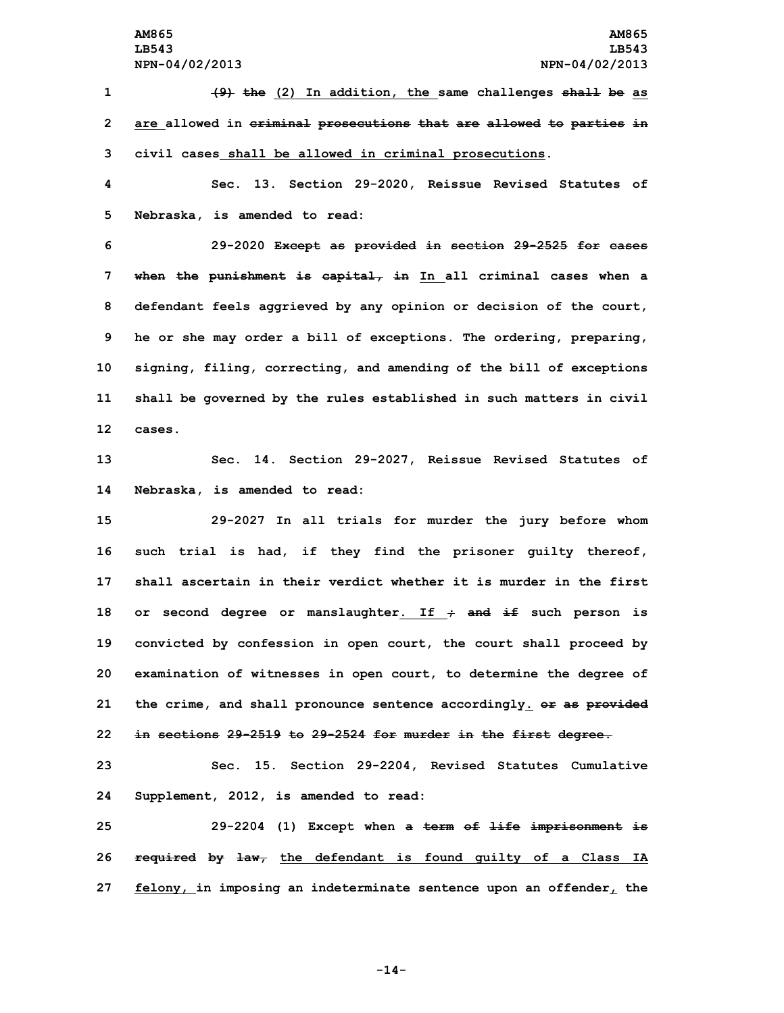**(9) the (2) In addition, the same challenges shall be as are allowed in criminal prosecutions that are allowed to parties in civil cases shall be allowed in criminal prosecutions. Sec. 13. Section 29-2020, Reissue Revised Statutes of Nebraska, is amended to read: 29-2020 Except as provided in section 29-2525 for cases when the punishment is capital, in In all criminal cases when <sup>a</sup> defendant feels aggrieved by any opinion or decision of the court, he or she may order <sup>a</sup> bill of exceptions. The ordering, preparing, signing, filing, correcting, and amending of the bill of exceptions shall be governed by the rules established in such matters in civil 12 cases. Sec. 14. Section 29-2027, Reissue Revised Statutes of Nebraska, is amended to read: 29-2027 In all trials for murder the jury before whom such trial is had, if they find the prisoner guilty thereof, shall ascertain in their verdict whether it is murder in the first or second degree or manslaughter. If ; and if such person is convicted by confession in open court, the court shall proceed by examination of witnesses in open court, to determine the degree of the crime, and shall pronounce sentence accordingly. or as provided in sections 29-2519 to 29-2524 for murder in the first degree. Sec. 15. Section 29-2204, Revised Statutes Cumulative Supplement, 2012, is amended to read: 29-2204 (1) Except when <sup>a</sup> term of life imprisonment is**

**26 required by law, the defendant is found guilty of <sup>a</sup> Class IA 27 felony, in imposing an indeterminate sentence upon an offender, the**

**-14-**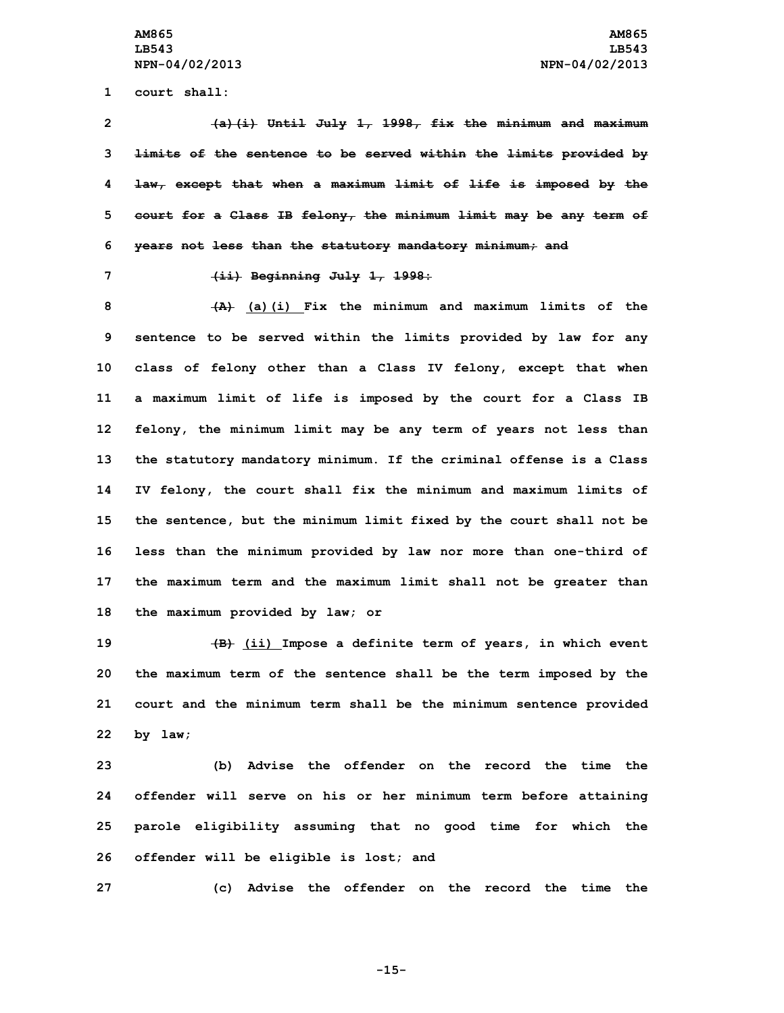**1 court shall:**

 **(a)(i) Until July 1, 1998, fix the minimum and maximum limits of the sentence to be served within the limits provided by law, except that when <sup>a</sup> maximum limit of life is imposed by the court for <sup>a</sup> Class IB felony, the minimum limit may be any term of years not less than the statutory mandatory minimum; and**

**7 (ii) Beginning July 1, 1998:**

 **(A) (a)(i) Fix the minimum and maximum limits of the sentence to be served within the limits provided by law for any class of felony other than <sup>a</sup> Class IV felony, except that when <sup>a</sup> maximum limit of life is imposed by the court for <sup>a</sup> Class IB felony, the minimum limit may be any term of years not less than the statutory mandatory minimum. If the criminal offense is <sup>a</sup> Class IV felony, the court shall fix the minimum and maximum limits of the sentence, but the minimum limit fixed by the court shall not be less than the minimum provided by law nor more than one-third of the maximum term and the maximum limit shall not be greater than the maximum provided by law; or**

 **(B) (ii) Impose <sup>a</sup> definite term of years, in which event the maximum term of the sentence shall be the term imposed by the court and the minimum term shall be the minimum sentence provided 22 by law;**

 **(b) Advise the offender on the record the time the offender will serve on his or her minimum term before attaining parole eligibility assuming that no good time for which the offender will be eligible is lost; and**

**27 (c) Advise the offender on the record the time the**

**-15-**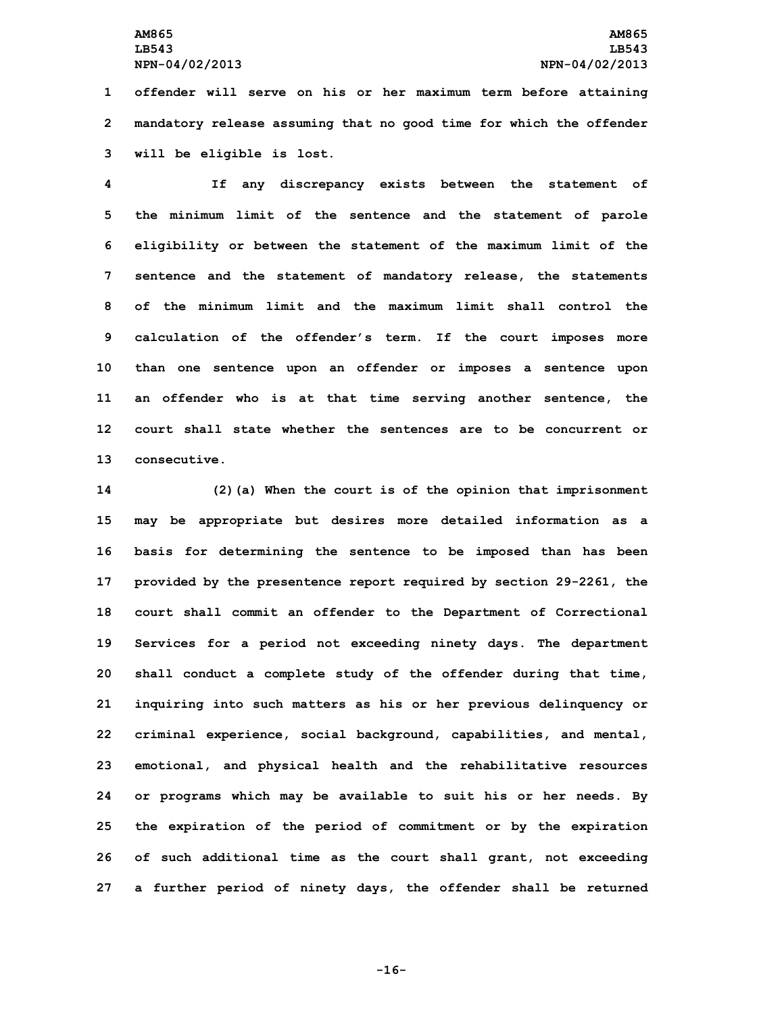**1 offender will serve on his or her maximum term before attaining 2 mandatory release assuming that no good time for which the offender 3 will be eligible is lost.**

 **If any discrepancy exists between the statement of the minimum limit of the sentence and the statement of parole eligibility or between the statement of the maximum limit of the sentence and the statement of mandatory release, the statements of the minimum limit and the maximum limit shall control the calculation of the offender's term. If the court imposes more than one sentence upon an offender or imposes <sup>a</sup> sentence upon an offender who is at that time serving another sentence, the court shall state whether the sentences are to be concurrent or consecutive.**

 **(2)(a) When the court is of the opinion that imprisonment may be appropriate but desires more detailed information as <sup>a</sup> basis for determining the sentence to be imposed than has been provided by the presentence report required by section 29-2261, the court shall commit an offender to the Department of Correctional Services for <sup>a</sup> period not exceeding ninety days. The department shall conduct <sup>a</sup> complete study of the offender during that time, inquiring into such matters as his or her previous delinquency or criminal experience, social background, capabilities, and mental, emotional, and physical health and the rehabilitative resources or programs which may be available to suit his or her needs. By the expiration of the period of commitment or by the expiration of such additional time as the court shall grant, not exceeding <sup>a</sup> further period of ninety days, the offender shall be returned**

**-16-**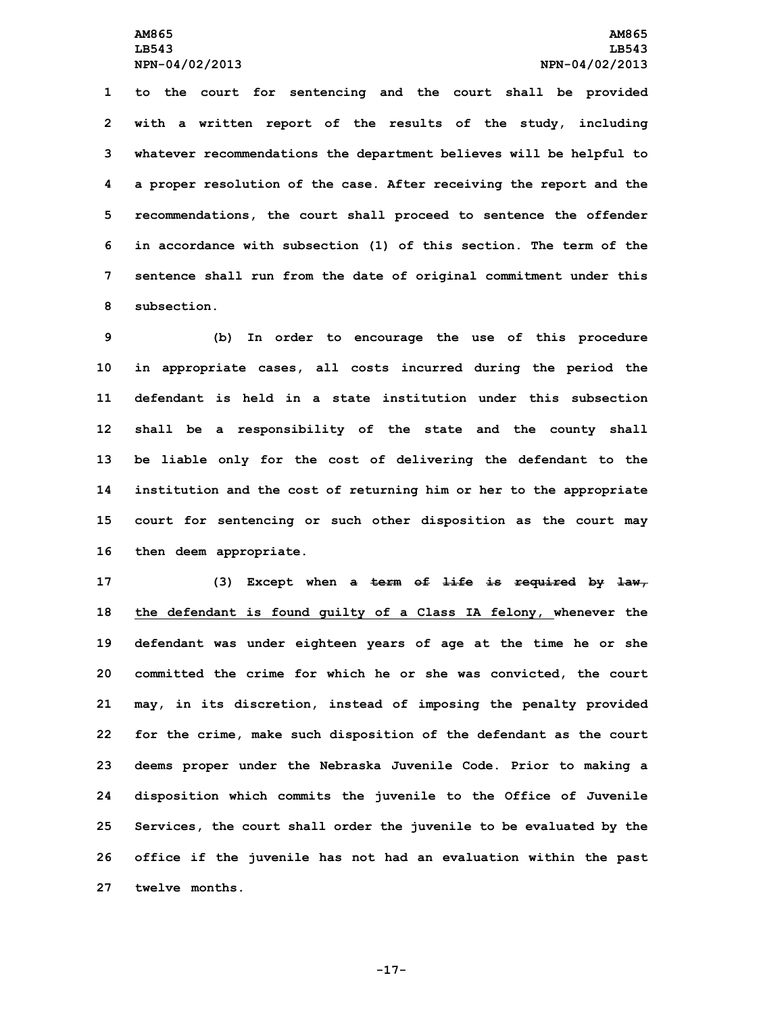**to the court for sentencing and the court shall be provided with <sup>a</sup> written report of the results of the study, including whatever recommendations the department believes will be helpful to <sup>a</sup> proper resolution of the case. After receiving the report and the recommendations, the court shall proceed to sentence the offender in accordance with subsection (1) of this section. The term of the sentence shall run from the date of original commitment under this subsection.**

 **(b) In order to encourage the use of this procedure in appropriate cases, all costs incurred during the period the defendant is held in a state institution under this subsection shall be <sup>a</sup> responsibility of the state and the county shall be liable only for the cost of delivering the defendant to the institution and the cost of returning him or her to the appropriate court for sentencing or such other disposition as the court may then deem appropriate.**

 **(3) Except when <sup>a</sup> term of life is required by law, the defendant is found guilty of <sup>a</sup> Class IA felony, whenever the defendant was under eighteen years of age at the time he or she committed the crime for which he or she was convicted, the court may, in its discretion, instead of imposing the penalty provided for the crime, make such disposition of the defendant as the court deems proper under the Nebraska Juvenile Code. Prior to making <sup>a</sup> disposition which commits the juvenile to the Office of Juvenile Services, the court shall order the juvenile to be evaluated by the office if the juvenile has not had an evaluation within the past twelve months.**

**-17-**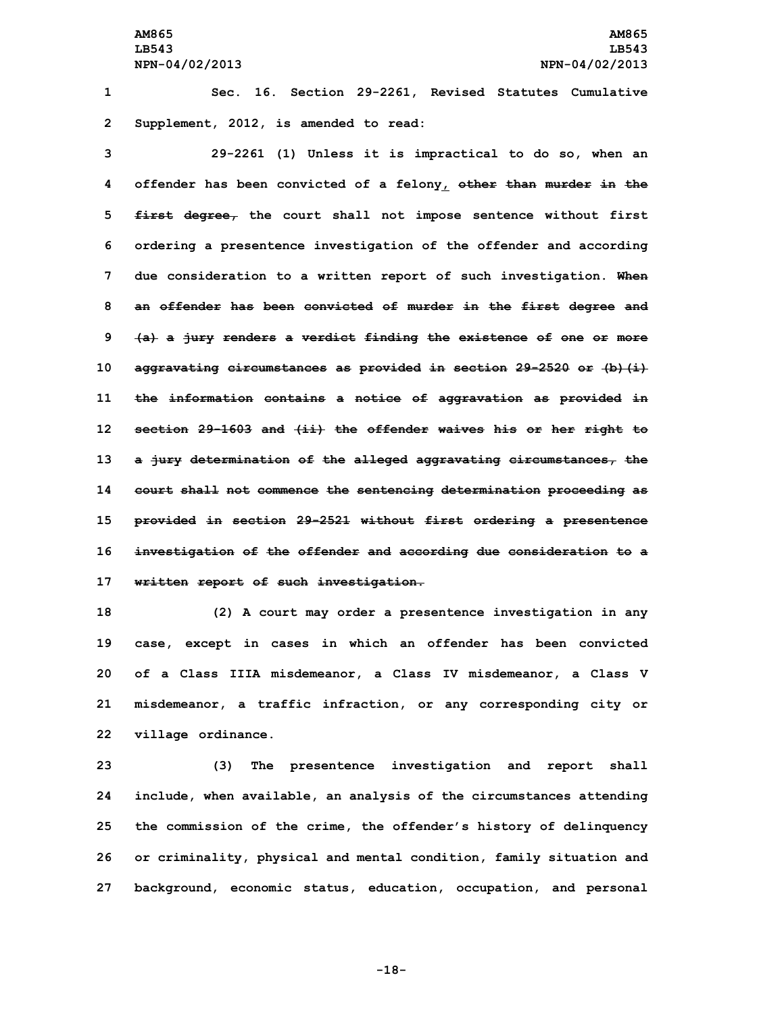**1 Sec. 16. Section 29-2261, Revised Statutes Cumulative 2 Supplement, 2012, is amended to read:**

 **29-2261 (1) Unless it is impractical to do so, when an offender has been convicted of <sup>a</sup> felony, other than murder in the first degree, the court shall not impose sentence without first ordering <sup>a</sup> presentence investigation of the offender and according due consideration to <sup>a</sup> written report of such investigation. When an offender has been convicted of murder in the first degree and (a) <sup>a</sup> jury renders <sup>a</sup> verdict finding the existence of one or more aggravating circumstances as provided in section 29-2520 or (b)(i) the information contains <sup>a</sup> notice of aggravation as provided in section 29-1603 and (ii) the offender waives his or her right to <sup>a</sup> jury determination of the alleged aggravating circumstances, the court shall not commence the sentencing determination proceeding as provided in section 29-2521 without first ordering <sup>a</sup> presentence investigation of the offender and according due consideration to <sup>a</sup> written report of such investigation.**

 **(2) <sup>A</sup> court may order <sup>a</sup> presentence investigation in any case, except in cases in which an offender has been convicted of <sup>a</sup> Class IIIA misdemeanor, <sup>a</sup> Class IV misdemeanor, <sup>a</sup> Class V misdemeanor, <sup>a</sup> traffic infraction, or any corresponding city or village ordinance.**

 **(3) The presentence investigation and report shall include, when available, an analysis of the circumstances attending the commission of the crime, the offender's history of delinquency or criminality, physical and mental condition, family situation and background, economic status, education, occupation, and personal**

**-18-**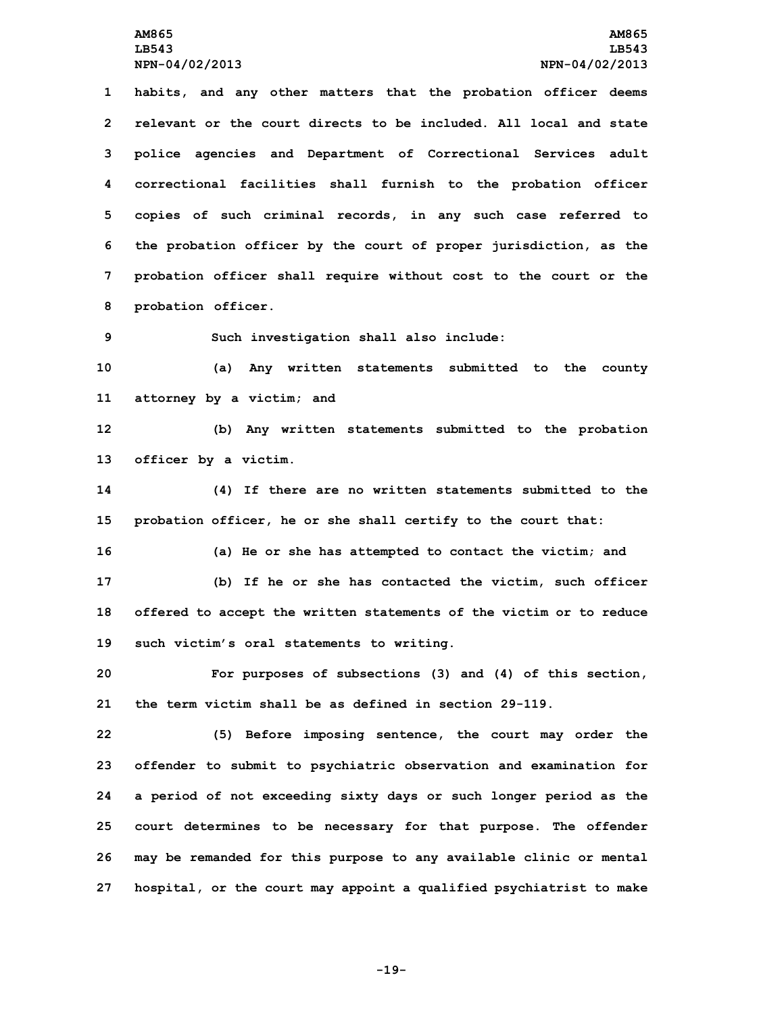**LB543 LB543**

 **habits, and any other matters that the probation officer deems relevant or the court directs to be included. All local and state police agencies and Department of Correctional Services adult correctional facilities shall furnish to the probation officer copies of such criminal records, in any such case referred to the probation officer by the court of proper jurisdiction, as the probation officer shall require without cost to the court or the probation officer.**

**9 Such investigation shall also include:**

**10 (a) Any written statements submitted to the county 11 attorney by <sup>a</sup> victim; and**

**12 (b) Any written statements submitted to the probation 13 officer by <sup>a</sup> victim.**

**14 (4) If there are no written statements submitted to the 15 probation officer, he or she shall certify to the court that:**

 **(a) He or she has attempted to contact the victim; and (b) If he or she has contacted the victim, such officer offered to accept the written statements of the victim or to reduce such victim's oral statements to writing.**

**20 For purposes of subsections (3) and (4) of this section, 21 the term victim shall be as defined in section 29-119.**

 **(5) Before imposing sentence, the court may order the offender to submit to psychiatric observation and examination for <sup>a</sup> period of not exceeding sixty days or such longer period as the court determines to be necessary for that purpose. The offender may be remanded for this purpose to any available clinic or mental hospital, or the court may appoint <sup>a</sup> qualified psychiatrist to make**

**-19-**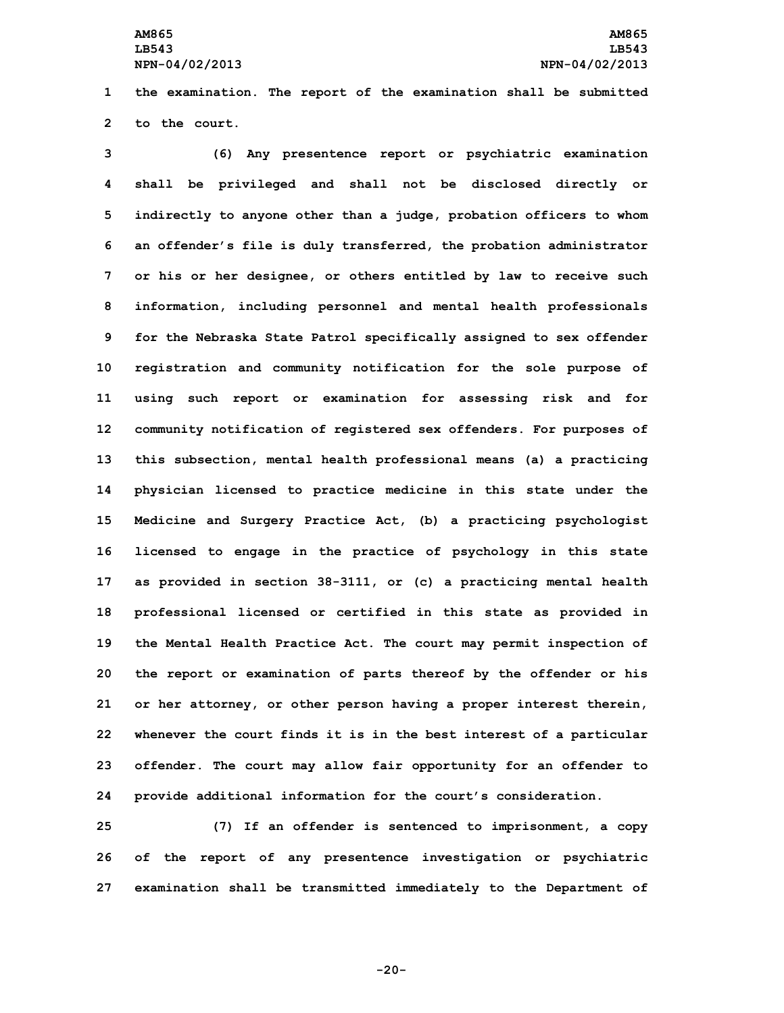**1 the examination. The report of the examination shall be submitted 2 to the court.**

 **(6) Any presentence report or psychiatric examination shall be privileged and shall not be disclosed directly or indirectly to anyone other than <sup>a</sup> judge, probation officers to whom an offender's file is duly transferred, the probation administrator or his or her designee, or others entitled by law to receive such information, including personnel and mental health professionals for the Nebraska State Patrol specifically assigned to sex offender registration and community notification for the sole purpose of using such report or examination for assessing risk and for community notification of registered sex offenders. For purposes of this subsection, mental health professional means (a) <sup>a</sup> practicing physician licensed to practice medicine in this state under the Medicine and Surgery Practice Act, (b) <sup>a</sup> practicing psychologist licensed to engage in the practice of psychology in this state as provided in section 38-3111, or (c) <sup>a</sup> practicing mental health professional licensed or certified in this state as provided in the Mental Health Practice Act. The court may permit inspection of the report or examination of parts thereof by the offender or his or her attorney, or other person having <sup>a</sup> proper interest therein, whenever the court finds it is in the best interest of <sup>a</sup> particular offender. The court may allow fair opportunity for an offender to provide additional information for the court's consideration.**

**25 (7) If an offender is sentenced to imprisonment, <sup>a</sup> copy 26 of the report of any presentence investigation or psychiatric 27 examination shall be transmitted immediately to the Department of**

**-20-**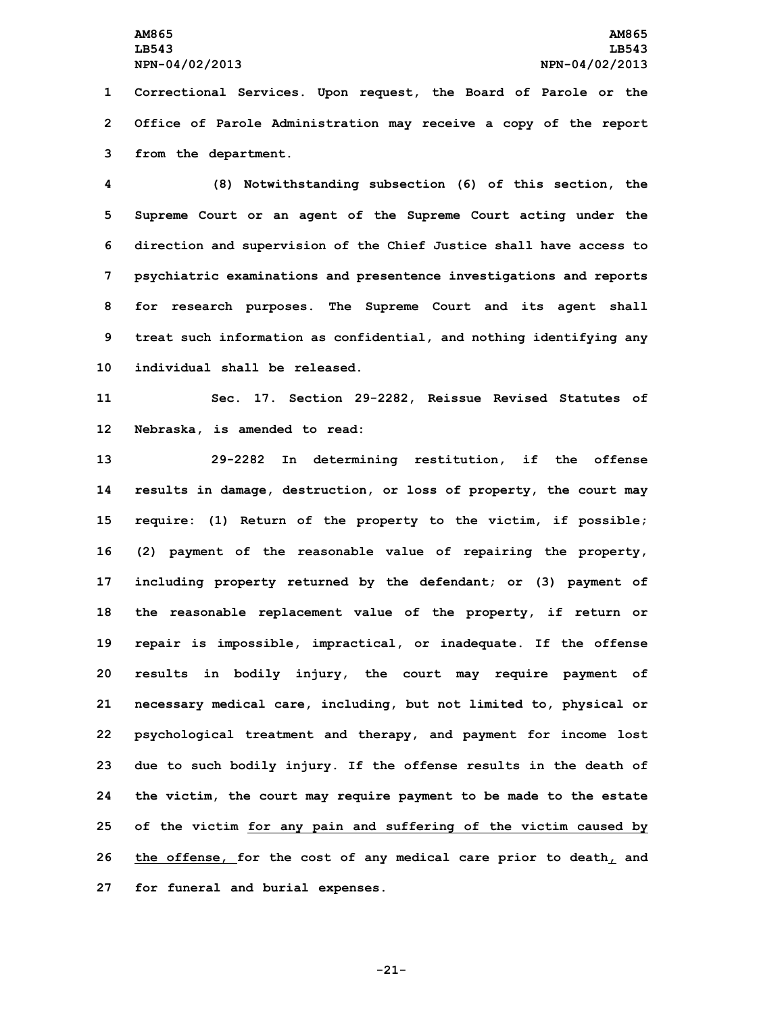**LB543 LB543**

**1 Correctional Services. Upon request, the Board of Parole or the 2 Office of Parole Administration may receive <sup>a</sup> copy of the report 3 from the department.**

 **(8) Notwithstanding subsection (6) of this section, the Supreme Court or an agent of the Supreme Court acting under the direction and supervision of the Chief Justice shall have access to psychiatric examinations and presentence investigations and reports for research purposes. The Supreme Court and its agent shall treat such information as confidential, and nothing identifying any individual shall be released.**

**11 Sec. 17. Section 29-2282, Reissue Revised Statutes of 12 Nebraska, is amended to read:**

 **29-2282 In determining restitution, if the offense results in damage, destruction, or loss of property, the court may require: (1) Return of the property to the victim, if possible; (2) payment of the reasonable value of repairing the property, including property returned by the defendant; or (3) payment of the reasonable replacement value of the property, if return or repair is impossible, impractical, or inadequate. If the offense results in bodily injury, the court may require payment of necessary medical care, including, but not limited to, physical or psychological treatment and therapy, and payment for income lost due to such bodily injury. If the offense results in the death of the victim, the court may require payment to be made to the estate of the victim for any pain and suffering of the victim caused by the offense, for the cost of any medical care prior to death, and for funeral and burial expenses.**

**-21-**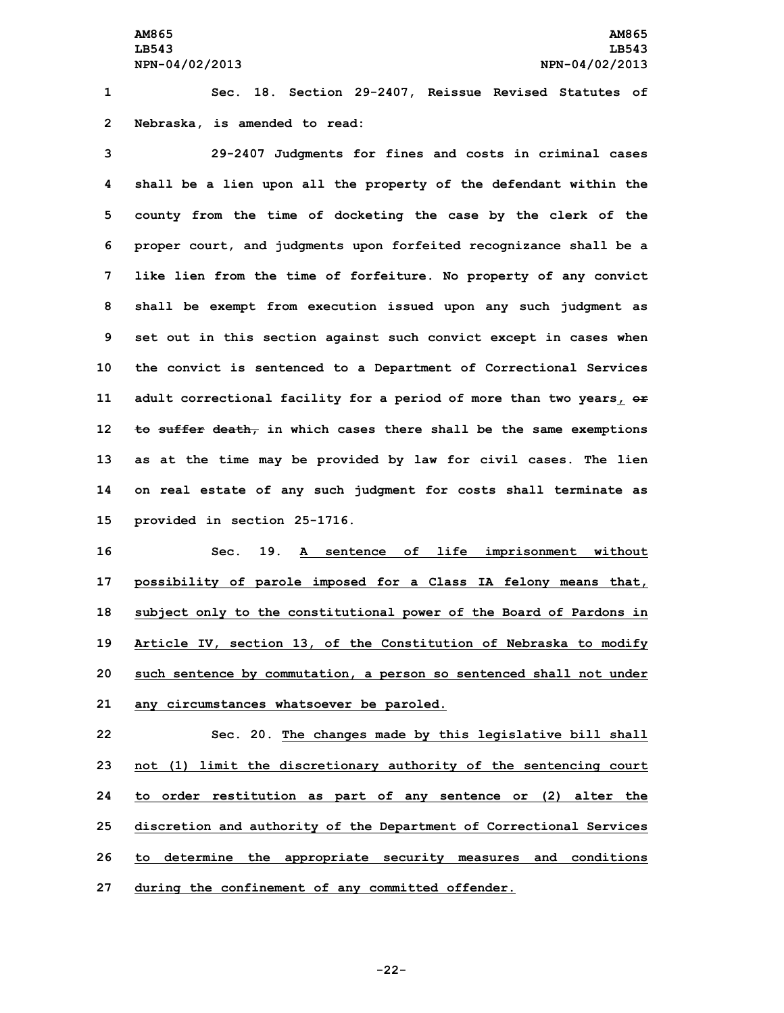**1 Sec. 18. Section 29-2407, Reissue Revised Statutes of 2 Nebraska, is amended to read:**

 **29-2407 Judgments for fines and costs in criminal cases shall be <sup>a</sup> lien upon all the property of the defendant within the county from the time of docketing the case by the clerk of the proper court, and judgments upon forfeited recognizance shall be <sup>a</sup> like lien from the time of forfeiture. No property of any convict shall be exempt from execution issued upon any such judgment as set out in this section against such convict except in cases when the convict is sentenced to <sup>a</sup> Department of Correctional Services adult correctional facility for <sup>a</sup> period of more than two years, or to suffer death, in which cases there shall be the same exemptions as at the time may be provided by law for civil cases. The lien on real estate of any such judgment for costs shall terminate as provided in section 25-1716.**

 **Sec. 19. <sup>A</sup> sentence of life imprisonment without possibility of parole imposed for <sup>a</sup> Class IA felony means that, subject only to the constitutional power of the Board of Pardons in Article IV, section 13, of the Constitution of Nebraska to modify such sentence by commutation, <sup>a</sup> person so sentenced shall not under any circumstances whatsoever be paroled.**

 **Sec. 20. The changes made by this legislative bill shall not (1) limit the discretionary authority of the sentencing court to order restitution as part of any sentence or (2) alter the discretion and authority of the Department of Correctional Services to determine the appropriate security measures and conditions during the confinement of any committed offender.**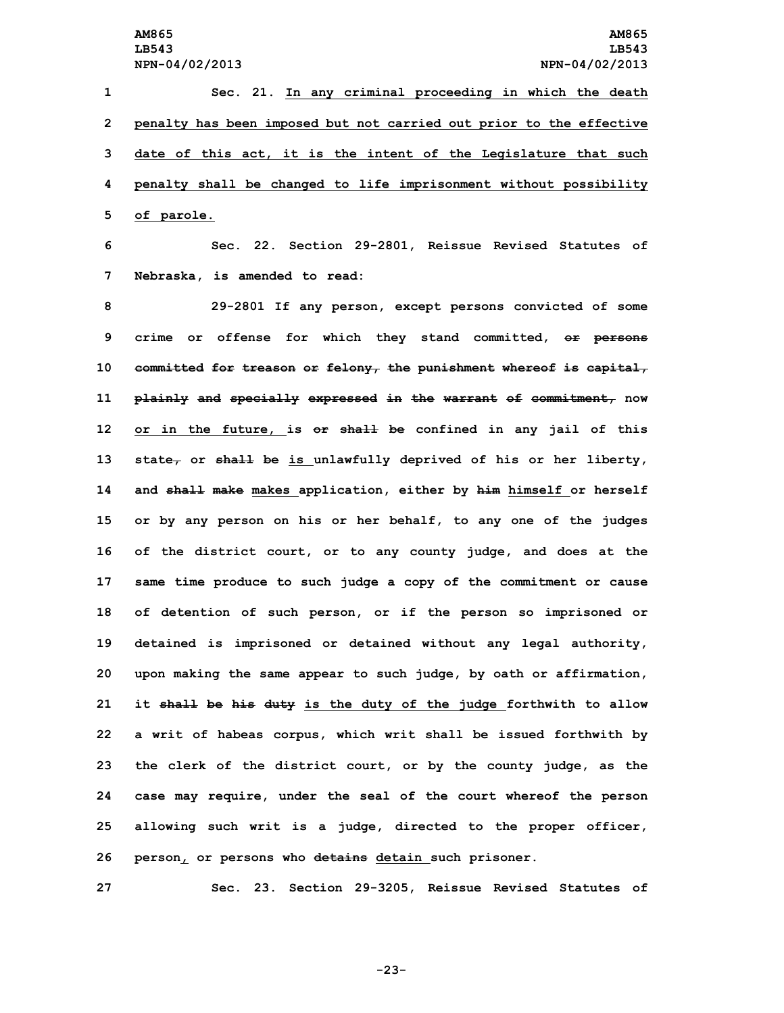**Sec. 21. In any criminal proceeding in which the death penalty has been imposed but not carried out prior to the effective date of this act, it is the intent of the Legislature that such penalty shall be changed to life imprisonment without possibility of parole.**

**6 Sec. 22. Section 29-2801, Reissue Revised Statutes of 7 Nebraska, is amended to read:**

 **29-2801 If any person, except persons convicted of some crime or offense for which they stand committed, or persons committed for treason or felony, the punishment whereof is capital, plainly and specially expressed in the warrant of commitment, now or in the future, is or shall be confined in any jail of this state, or shall be is unlawfully deprived of his or her liberty, and shall make makes application, either by him himself or herself or by any person on his or her behalf, to any one of the judges of the district court, or to any county judge, and does at the same time produce to such judge <sup>a</sup> copy of the commitment or cause of detention of such person, or if the person so imprisoned or detained is imprisoned or detained without any legal authority, upon making the same appear to such judge, by oath or affirmation, it shall be his duty is the duty of the judge forthwith to allow <sup>a</sup> writ of habeas corpus, which writ shall be issued forthwith by the clerk of the district court, or by the county judge, as the case may require, under the seal of the court whereof the person allowing such writ is <sup>a</sup> judge, directed to the proper officer, person, or persons who detains detain such prisoner.**

**27 Sec. 23. Section 29-3205, Reissue Revised Statutes of**

**-23-**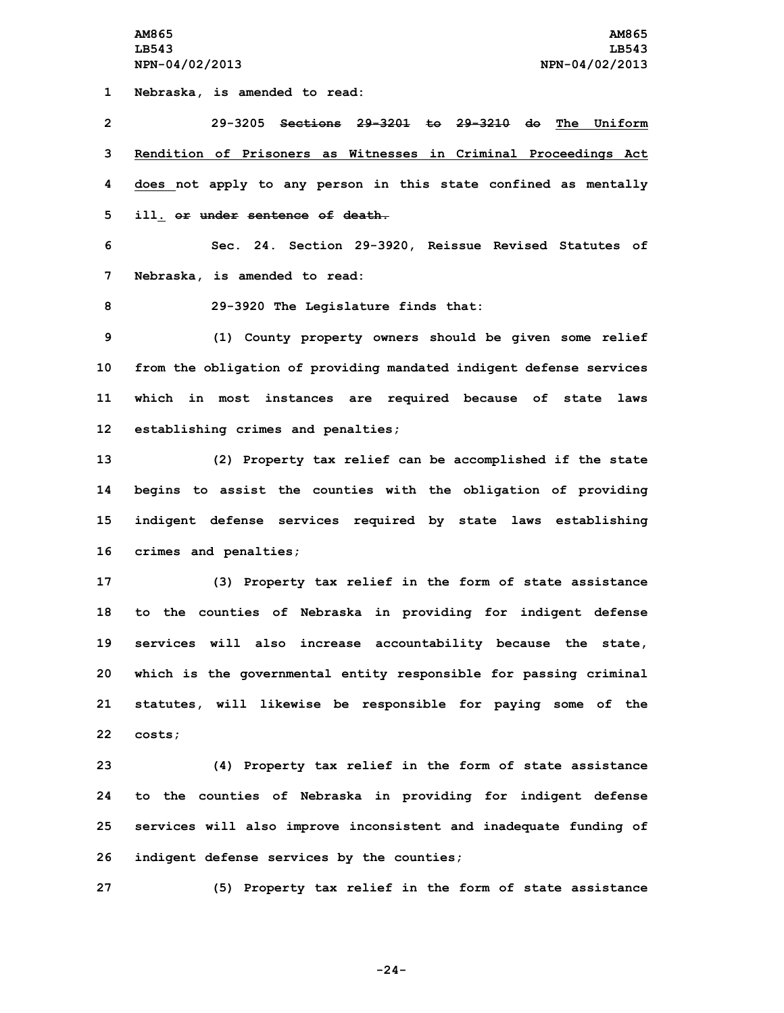**1 Nebraska, is amended to read:**

 **29-3205 Sections 29-3201 to 29-3210 do The Uniform Rendition of Prisoners as Witnesses in Criminal Proceedings Act does not apply to any person in this state confined as mentally ill. or under sentence of death. Sec. 24. Section 29-3920, Reissue Revised Statutes of Nebraska, is amended to read: 29-3920 The Legislature finds that: (1) County property owners should be given some relief from the obligation of providing mandated indigent defense services which in most instances are required because of state laws establishing crimes and penalties; (2) Property tax relief can be accomplished if the state begins to assist the counties with the obligation of providing indigent defense services required by state laws establishing crimes and penalties; (3) Property tax relief in the form of state assistance to the counties of Nebraska in providing for indigent defense services will also increase accountability because the state,**

**20 which is the governmental entity responsible for passing criminal 21 statutes, will likewise be responsible for paying some of the 22 costs;**

 **(4) Property tax relief in the form of state assistance to the counties of Nebraska in providing for indigent defense services will also improve inconsistent and inadequate funding of indigent defense services by the counties;**

**27 (5) Property tax relief in the form of state assistance**

**-24-**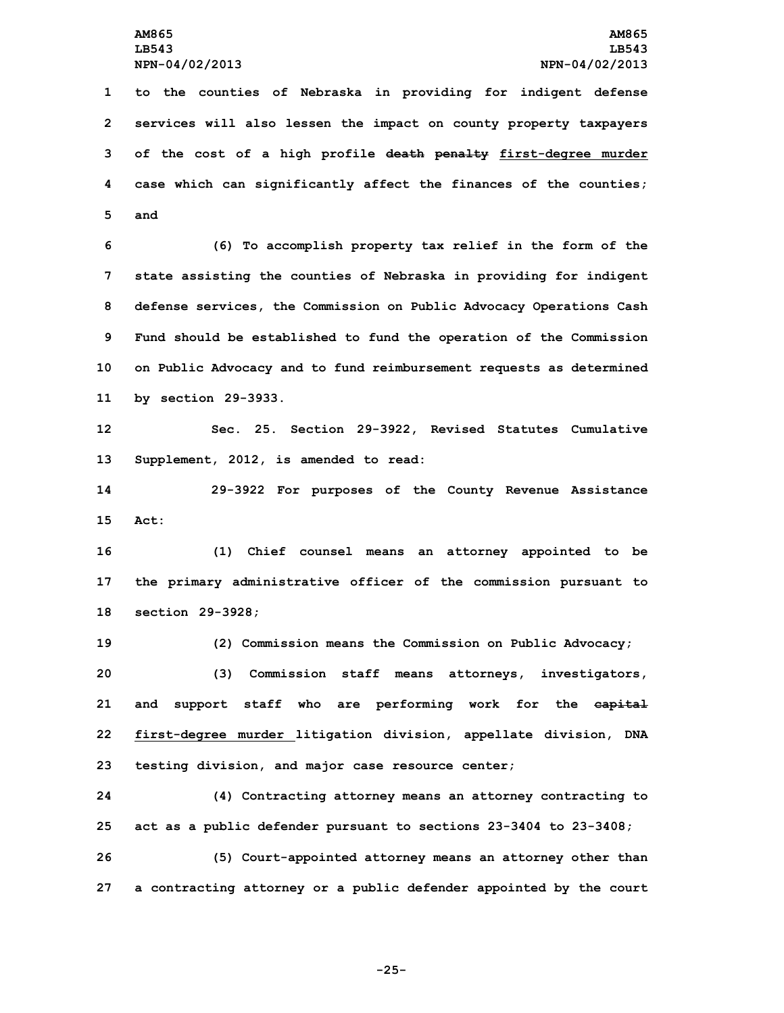**to the counties of Nebraska in providing for indigent defense services will also lessen the impact on county property taxpayers of the cost of <sup>a</sup> high profile death penalty first-degree murder case which can significantly affect the finances of the counties; 5 and**

 **(6) To accomplish property tax relief in the form of the state assisting the counties of Nebraska in providing for indigent defense services, the Commission on Public Advocacy Operations Cash Fund should be established to fund the operation of the Commission on Public Advocacy and to fund reimbursement requests as determined by section 29-3933.**

**12 Sec. 25. Section 29-3922, Revised Statutes Cumulative 13 Supplement, 2012, is amended to read:**

**14 29-3922 For purposes of the County Revenue Assistance 15 Act:**

**16 (1) Chief counsel means an attorney appointed to be 17 the primary administrative officer of the commission pursuant to 18 section 29-3928;**

 **(2) Commission means the Commission on Public Advocacy; (3) Commission staff means attorneys, investigators, and support staff who are performing work for the capital first-degree murder litigation division, appellate division, DNA testing division, and major case resource center;**

**24 (4) Contracting attorney means an attorney contracting to 25 act as <sup>a</sup> public defender pursuant to sections 23-3404 to 23-3408;**

**26 (5) Court-appointed attorney means an attorney other than 27 <sup>a</sup> contracting attorney or <sup>a</sup> public defender appointed by the court**

**-25-**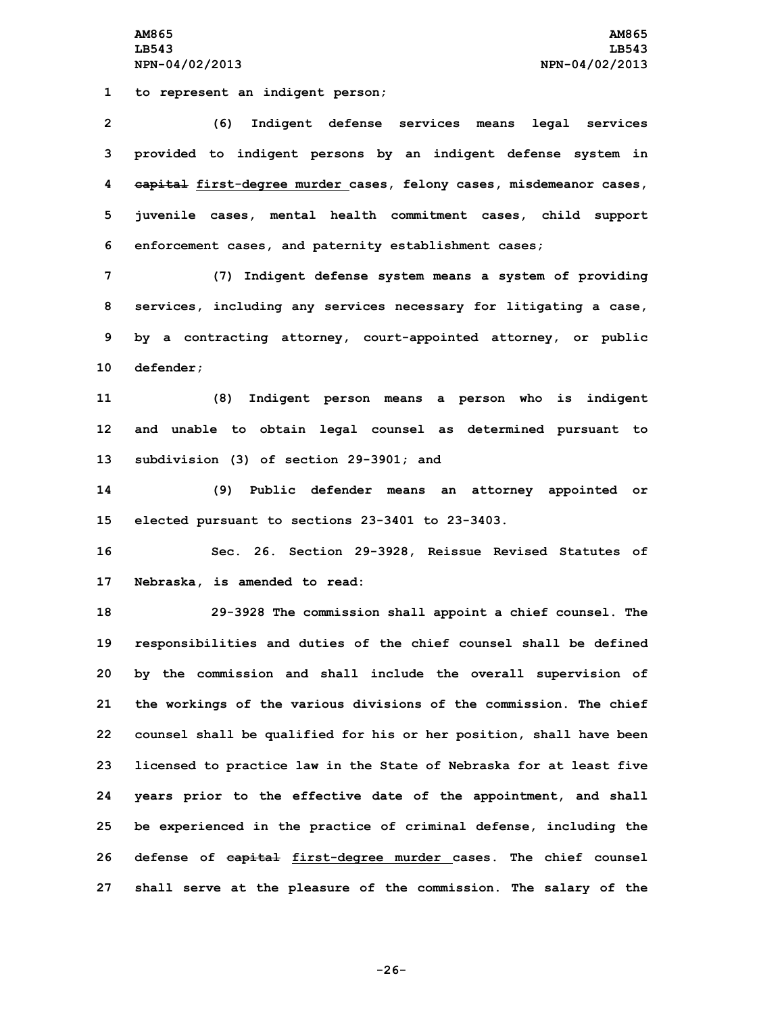**1 to represent an indigent person;**

 **(6) Indigent defense services means legal services provided to indigent persons by an indigent defense system in capital first-degree murder cases, felony cases, misdemeanor cases, juvenile cases, mental health commitment cases, child support enforcement cases, and paternity establishment cases;**

 **(7) Indigent defense system means <sup>a</sup> system of providing services, including any services necessary for litigating <sup>a</sup> case, by <sup>a</sup> contracting attorney, court-appointed attorney, or public defender;**

**11 (8) Indigent person means <sup>a</sup> person who is indigent 12 and unable to obtain legal counsel as determined pursuant to 13 subdivision (3) of section 29-3901; and**

**14 (9) Public defender means an attorney appointed or 15 elected pursuant to sections 23-3401 to 23-3403.**

**16 Sec. 26. Section 29-3928, Reissue Revised Statutes of 17 Nebraska, is amended to read:**

 **29-3928 The commission shall appoint <sup>a</sup> chief counsel. The responsibilities and duties of the chief counsel shall be defined by the commission and shall include the overall supervision of the workings of the various divisions of the commission. The chief counsel shall be qualified for his or her position, shall have been licensed to practice law in the State of Nebraska for at least five years prior to the effective date of the appointment, and shall be experienced in the practice of criminal defense, including the defense of capital first-degree murder cases. The chief counsel shall serve at the pleasure of the commission. The salary of the**

**-26-**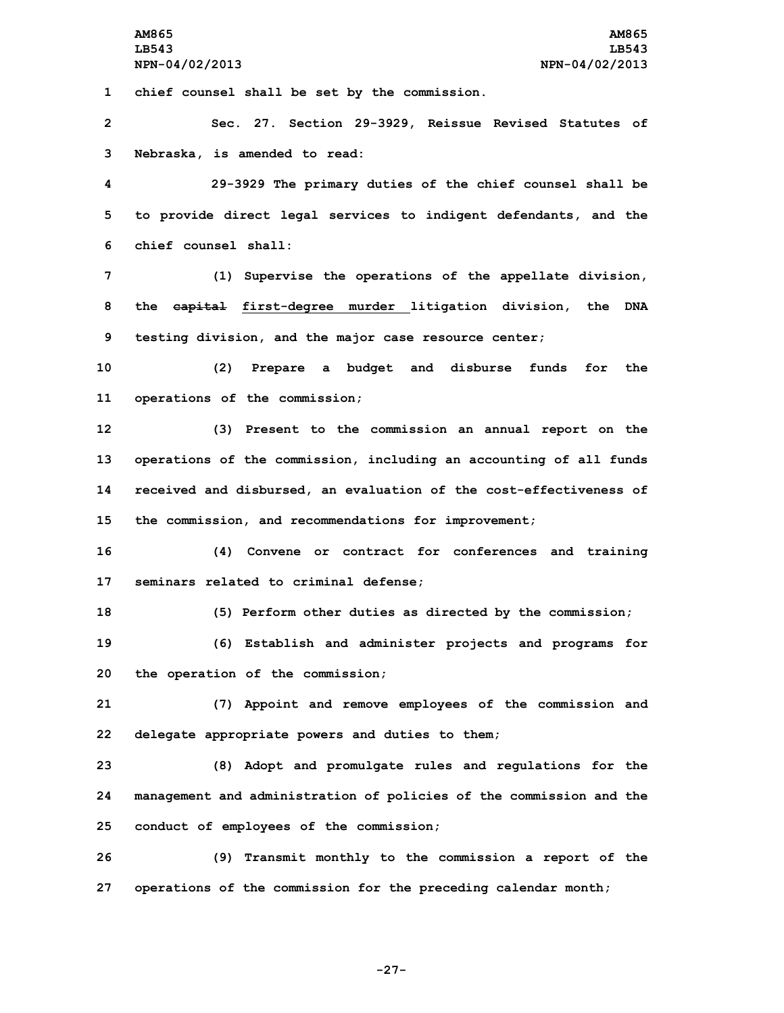**1 chief counsel shall be set by the commission.**

**2 Sec. 27. Section 29-3929, Reissue Revised Statutes of 3 Nebraska, is amended to read:**

**4 29-3929 The primary duties of the chief counsel shall be 5 to provide direct legal services to indigent defendants, and the 6 chief counsel shall:**

**7 (1) Supervise the operations of the appellate division, 8 the capital first-degree murder litigation division, the DNA 9 testing division, and the major case resource center;**

**10 (2) Prepare <sup>a</sup> budget and disburse funds for the 11 operations of the commission;**

 **(3) Present to the commission an annual report on the operations of the commission, including an accounting of all funds received and disbursed, an evaluation of the cost-effectiveness of the commission, and recommendations for improvement;**

**16 (4) Convene or contract for conferences and training 17 seminars related to criminal defense;**

**18 (5) Perform other duties as directed by the commission;**

**19 (6) Establish and administer projects and programs for 20 the operation of the commission;**

**21 (7) Appoint and remove employees of the commission and 22 delegate appropriate powers and duties to them;**

**23 (8) Adopt and promulgate rules and regulations for the 24 management and administration of policies of the commission and the 25 conduct of employees of the commission;**

**26 (9) Transmit monthly to the commission <sup>a</sup> report of the 27 operations of the commission for the preceding calendar month;**

**-27-**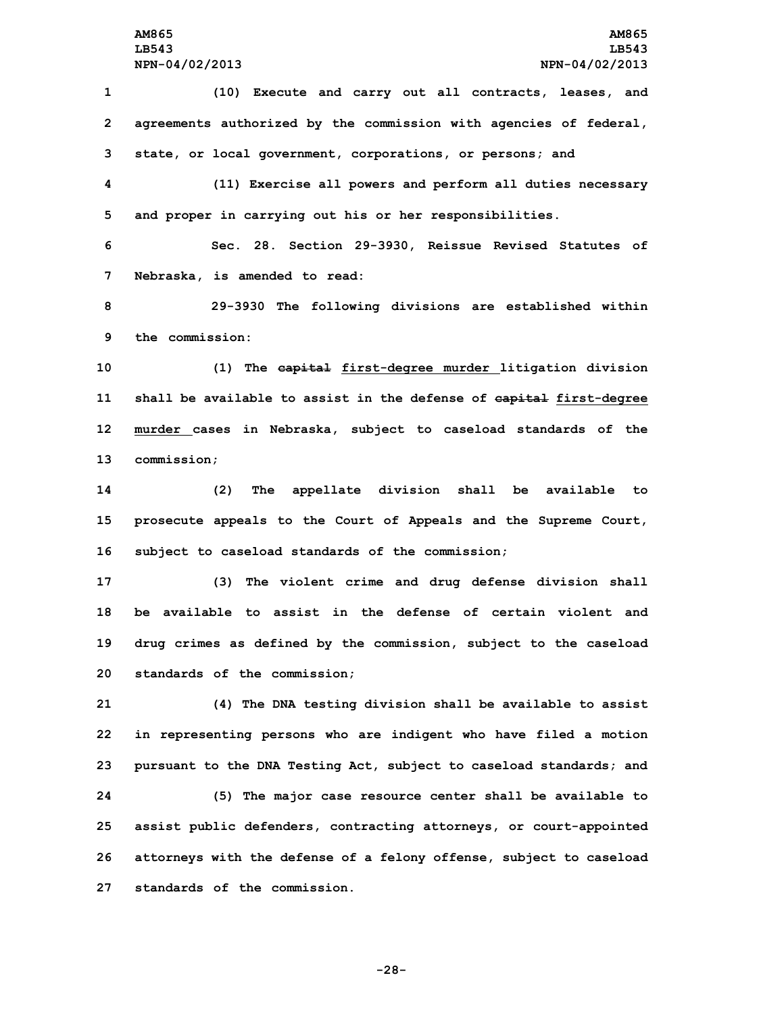**(10) Execute and carry out all contracts, leases, and agreements authorized by the commission with agencies of federal, state, or local government, corporations, or persons; and (11) Exercise all powers and perform all duties necessary and proper in carrying out his or her responsibilities. Sec. 28. Section 29-3930, Reissue Revised Statutes of Nebraska, is amended to read: 29-3930 The following divisions are established within the commission: (1) The capital first-degree murder litigation division shall be available to assist in the defense of capital first-degree murder cases in Nebraska, subject to caseload standards of the commission; (2) The appellate division shall be available to prosecute appeals to the Court of Appeals and the Supreme Court, subject to caseload standards of the commission; (3) The violent crime and drug defense division shall be available to assist in the defense of certain violent and drug crimes as defined by the commission, subject to the caseload standards of the commission; (4) The DNA testing division shall be available to assist in representing persons who are indigent who have filed <sup>a</sup> motion pursuant to the DNA Testing Act, subject to caseload standards; and (5) The major case resource center shall be available to assist public defenders, contracting attorneys, or court-appointed attorneys with the defense of <sup>a</sup> felony offense, subject to caseload**

**27 standards of the commission.**

**-28-**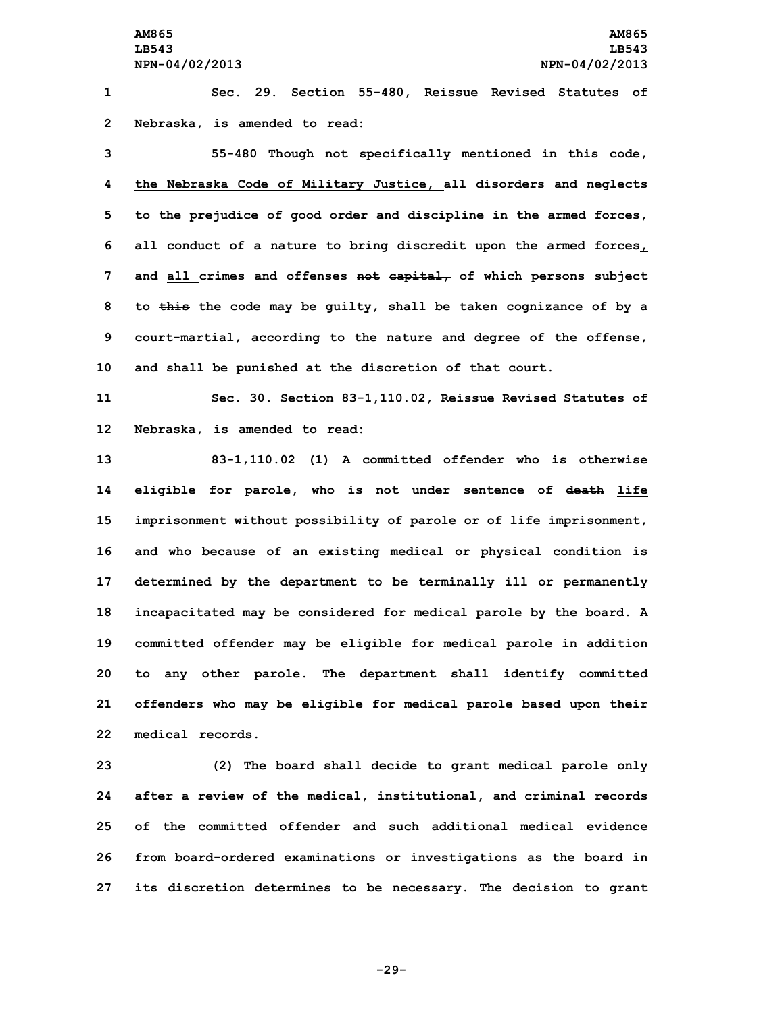**1 Sec. 29. Section 55-480, Reissue Revised Statutes of 2 Nebraska, is amended to read:**

 **55-480 Though not specifically mentioned in this code, the Nebraska Code of Military Justice, all disorders and neglects to the prejudice of good order and discipline in the armed forces, all conduct of <sup>a</sup> nature to bring discredit upon the armed forces, and all crimes and offenses not capital, of which persons subject to this the code may be guilty, shall be taken cognizance of by <sup>a</sup> court-martial, according to the nature and degree of the offense, and shall be punished at the discretion of that court.**

**11 Sec. 30. Section 83-1,110.02, Reissue Revised Statutes of 12 Nebraska, is amended to read:**

 **83-1,110.02 (1) A committed offender who is otherwise eligible for parole, who is not under sentence of death life imprisonment without possibility of parole or of life imprisonment, and who because of an existing medical or physical condition is determined by the department to be terminally ill or permanently incapacitated may be considered for medical parole by the board. <sup>A</sup> committed offender may be eligible for medical parole in addition to any other parole. The department shall identify committed offenders who may be eligible for medical parole based upon their medical records.**

 **(2) The board shall decide to grant medical parole only after <sup>a</sup> review of the medical, institutional, and criminal records of the committed offender and such additional medical evidence from board-ordered examinations or investigations as the board in its discretion determines to be necessary. The decision to grant**

**-29-**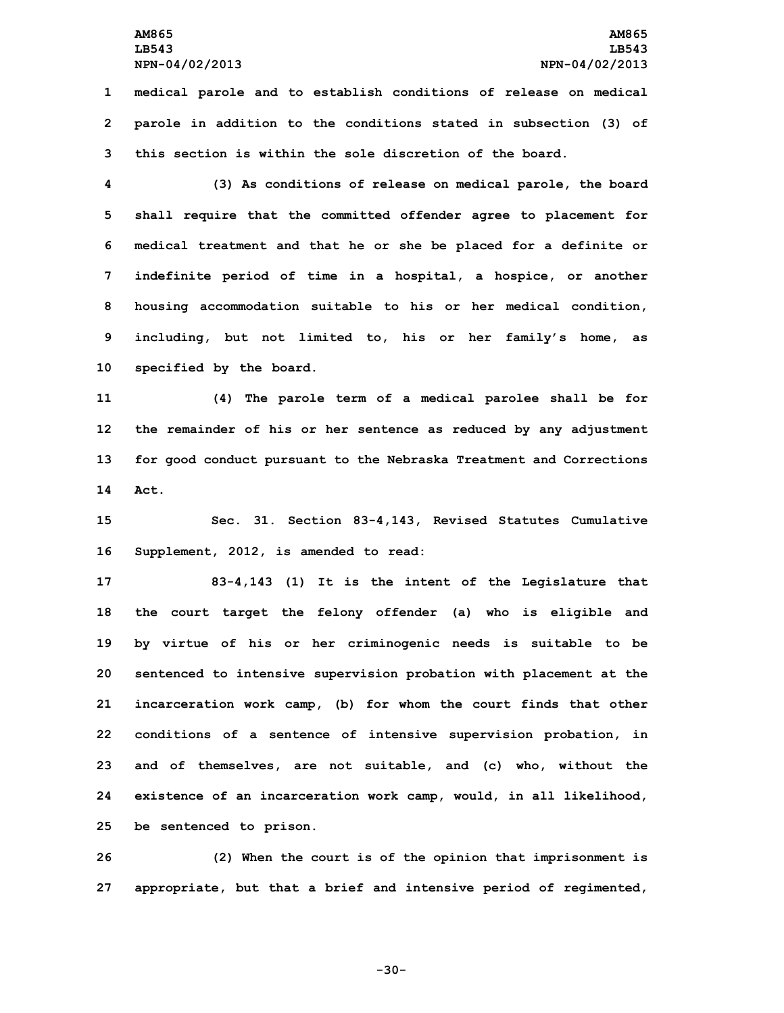**1 medical parole and to establish conditions of release on medical 2 parole in addition to the conditions stated in subsection (3) of 3 this section is within the sole discretion of the board.**

 **(3) As conditions of release on medical parole, the board shall require that the committed offender agree to placement for medical treatment and that he or she be placed for <sup>a</sup> definite or indefinite period of time in <sup>a</sup> hospital, <sup>a</sup> hospice, or another housing accommodation suitable to his or her medical condition, including, but not limited to, his or her family's home, as specified by the board.**

 **(4) The parole term of <sup>a</sup> medical parolee shall be for the remainder of his or her sentence as reduced by any adjustment for good conduct pursuant to the Nebraska Treatment and Corrections 14 Act.**

**15 Sec. 31. Section 83-4,143, Revised Statutes Cumulative 16 Supplement, 2012, is amended to read:**

 **83-4,143 (1) It is the intent of the Legislature that the court target the felony offender (a) who is eligible and by virtue of his or her criminogenic needs is suitable to be sentenced to intensive supervision probation with placement at the incarceration work camp, (b) for whom the court finds that other conditions of <sup>a</sup> sentence of intensive supervision probation, in and of themselves, are not suitable, and (c) who, without the existence of an incarceration work camp, would, in all likelihood, be sentenced to prison.**

**26 (2) When the court is of the opinion that imprisonment is 27 appropriate, but that <sup>a</sup> brief and intensive period of regimented,**

**-30-**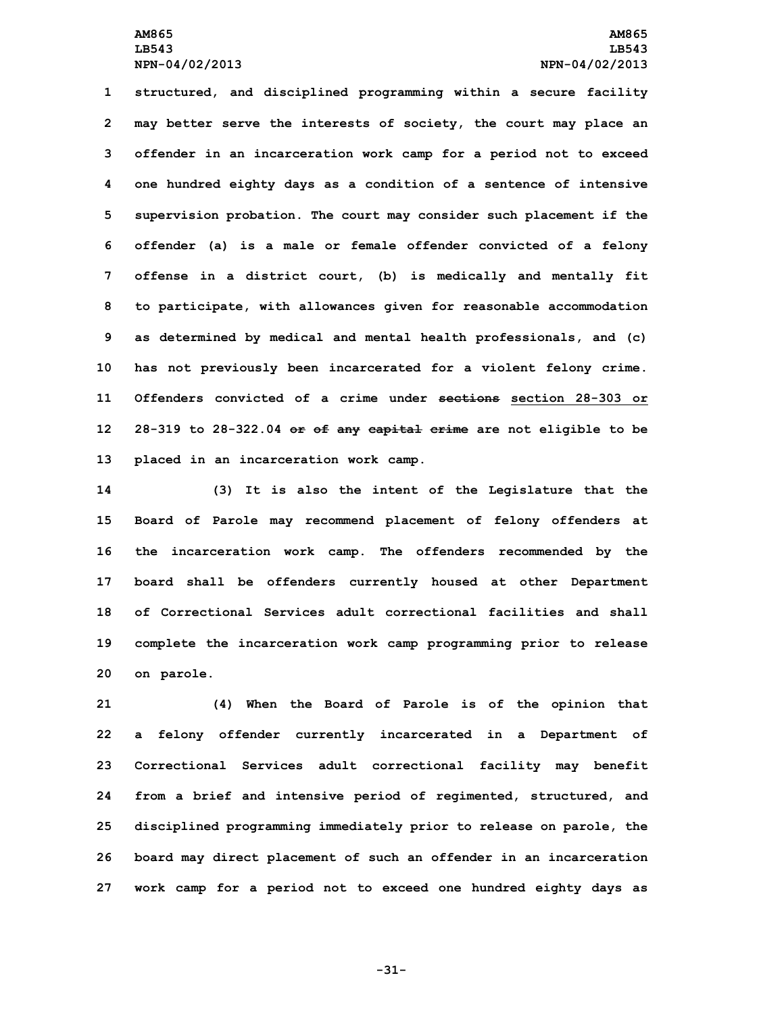**structured, and disciplined programming within <sup>a</sup> secure facility may better serve the interests of society, the court may place an offender in an incarceration work camp for <sup>a</sup> period not to exceed one hundred eighty days as <sup>a</sup> condition of <sup>a</sup> sentence of intensive supervision probation. The court may consider such placement if the offender (a) is <sup>a</sup> male or female offender convicted of <sup>a</sup> felony offense in <sup>a</sup> district court, (b) is medically and mentally fit to participate, with allowances given for reasonable accommodation as determined by medical and mental health professionals, and (c) has not previously been incarcerated for <sup>a</sup> violent felony crime. Offenders convicted of a crime under sections section 28-303 or 28-319 to 28-322.04 or of any capital crime are not eligible to be placed in an incarceration work camp.**

 **(3) It is also the intent of the Legislature that the Board of Parole may recommend placement of felony offenders at the incarceration work camp. The offenders recommended by the board shall be offenders currently housed at other Department of Correctional Services adult correctional facilities and shall complete the incarceration work camp programming prior to release on parole.**

 **(4) When the Board of Parole is of the opinion that <sup>a</sup> felony offender currently incarcerated in <sup>a</sup> Department of Correctional Services adult correctional facility may benefit from <sup>a</sup> brief and intensive period of regimented, structured, and disciplined programming immediately prior to release on parole, the board may direct placement of such an offender in an incarceration work camp for <sup>a</sup> period not to exceed one hundred eighty days as**

**-31-**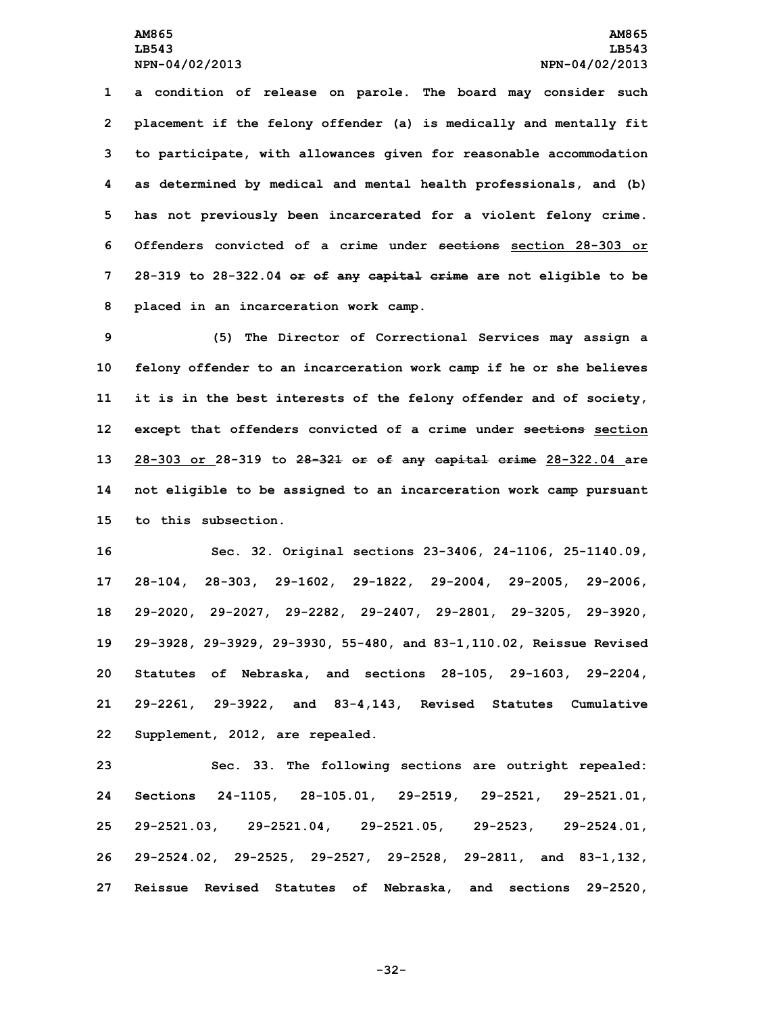**LB543 LB543**

 **<sup>a</sup> condition of release on parole. The board may consider such placement if the felony offender (a) is medically and mentally fit to participate, with allowances given for reasonable accommodation as determined by medical and mental health professionals, and (b) has not previously been incarcerated for <sup>a</sup> violent felony crime. Offenders convicted of a crime under sections section 28-303 or 28-319 to 28-322.04 or of any capital crime are not eligible to be placed in an incarceration work camp.**

 **(5) The Director of Correctional Services may assign <sup>a</sup> felony offender to an incarceration work camp if he or she believes it is in the best interests of the felony offender and of society, except that offenders convicted of <sup>a</sup> crime under sections section 28-303 or 28-319 to 28-321 or of any capital crime 28-322.04 are not eligible to be assigned to an incarceration work camp pursuant to this subsection.**

 **Sec. 32. Original sections 23-3406, 24-1106, 25-1140.09, 28-104, 28-303, 29-1602, 29-1822, 29-2004, 29-2005, 29-2006, 29-2020, 29-2027, 29-2282, 29-2407, 29-2801, 29-3205, 29-3920, 29-3928, 29-3929, 29-3930, 55-480, and 83-1,110.02, Reissue Revised Statutes of Nebraska, and sections 28-105, 29-1603, 29-2204, 29-2261, 29-3922, and 83-4,143, Revised Statutes Cumulative Supplement, 2012, are repealed.**

 **Sec. 33. The following sections are outright repealed: Sections 24-1105, 28-105.01, 29-2519, 29-2521, 29-2521.01, 29-2521.03, 29-2521.04, 29-2521.05, 29-2523, 29-2524.01, 29-2524.02, 29-2525, 29-2527, 29-2528, 29-2811, and 83-1,132, Reissue Revised Statutes of Nebraska, and sections 29-2520,**

**-32-**